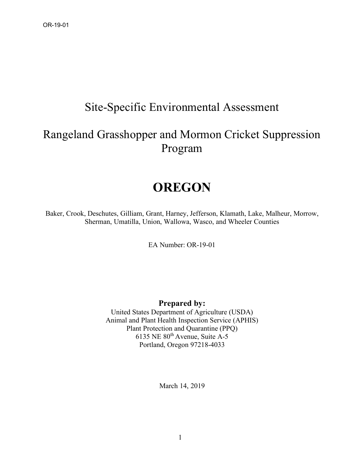# Site-Specific Environmental Assessment

# Rangeland Grasshopper and Mormon Cricket Suppression Program

# **OREGON**

Baker, Crook, Deschutes, Gilliam, Grant, Harney, Jefferson, Klamath, Lake, Malheur, Morrow, Sherman, Umatilla, Union, Wallowa, Wasco, and Wheeler Counties

EA Number: OR-19-01

#### **Prepared by:**

United States Department of Agriculture (USDA) Animal and Plant Health Inspection Service (APHIS) Plant Protection and Quarantine (PPQ) 6135 NE 80<sup>th</sup> Avenue, Suite A-5 Portland, Oregon 97218-4033

March 14, 2019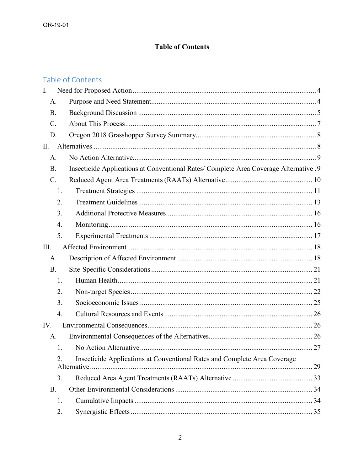#### **Table of Contents**

## Table of Contents

| I.              |                                                                                       |  |
|-----------------|---------------------------------------------------------------------------------------|--|
| A.              |                                                                                       |  |
| <b>B.</b>       |                                                                                       |  |
| $\mathcal{C}$ . |                                                                                       |  |
| D.              |                                                                                       |  |
| $\prod$ .       |                                                                                       |  |
| A.              |                                                                                       |  |
| <b>B.</b>       | Insecticide Applications at Conventional Rates/ Complete Area Coverage Alternative .9 |  |
| $\mathcal{C}$ . |                                                                                       |  |
|                 | 1.                                                                                    |  |
|                 | 2.                                                                                    |  |
|                 | 3.                                                                                    |  |
|                 | 4.                                                                                    |  |
|                 | 5.                                                                                    |  |
| III.            |                                                                                       |  |
| A.              |                                                                                       |  |
| B.              |                                                                                       |  |
|                 | 1.                                                                                    |  |
|                 | 2.                                                                                    |  |
|                 | 3.                                                                                    |  |
|                 | $\overline{4}$ .                                                                      |  |
| IV.             |                                                                                       |  |
| A.              |                                                                                       |  |
|                 | 1.                                                                                    |  |
|                 | Insecticide Applications at Conventional Rates and Complete Area Coverage<br>2.       |  |
|                 |                                                                                       |  |
|                 | 3.                                                                                    |  |
| <b>B.</b>       |                                                                                       |  |
|                 | 1.                                                                                    |  |
|                 | 2.                                                                                    |  |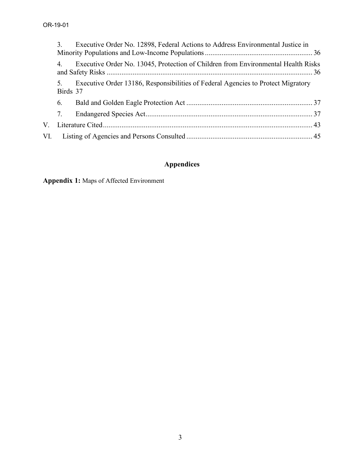|     | 3.             | Executive Order No. 12898, Federal Actions to Address Environmental Justice in    |  |
|-----|----------------|-----------------------------------------------------------------------------------|--|
|     | 4.             | Executive Order No. 13045, Protection of Children from Environmental Health Risks |  |
|     | 5.<br>Birds 37 | Executive Order 13186, Responsibilities of Federal Agencies to Protect Migratory  |  |
|     | 6.             |                                                                                   |  |
|     | 7.             |                                                                                   |  |
| V.  |                |                                                                                   |  |
| VI. |                |                                                                                   |  |

## **Appendices**

**Appendix 1:** Maps of Affected Environment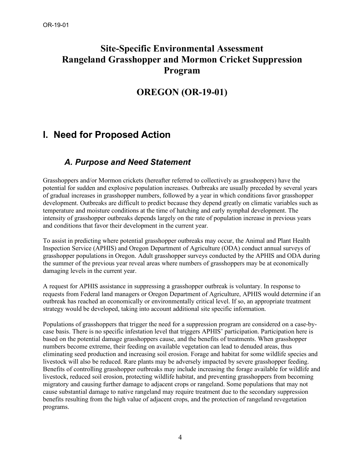## **Site-Specific Environmental Assessment Rangeland Grasshopper and Mormon Cricket Suppression Program**

## **OREGON (OR-19-01)**

## **I. Need for Proposed Action**

## *A. Purpose and Need Statement*

Grasshoppers and/or Mormon crickets (hereafter referred to collectively as grasshoppers) have the potential for sudden and explosive population increases. Outbreaks are usually preceded by several years of gradual increases in grasshopper numbers, followed by a year in which conditions favor grasshopper development. Outbreaks are difficult to predict because they depend greatly on climatic variables such as temperature and moisture conditions at the time of hatching and early nymphal development. The intensity of grasshopper outbreaks depends largely on the rate of population increase in previous years and conditions that favor their development in the current year.

To assist in predicting where potential grasshopper outbreaks may occur, the Animal and Plant Health Inspection Service (APHIS) and Oregon Department of Agriculture (ODA) conduct annual surveys of grasshopper populations in Oregon. Adult grasshopper surveys conducted by the APHIS and ODA during the summer of the previous year reveal areas where numbers of grasshoppers may be at economically damaging levels in the current year.

A request for APHIS assistance in suppressing a grasshopper outbreak is voluntary. In response to requests from Federal land managers or Oregon Department of Agriculture, APHIS would determine if an outbreak has reached an economically or environmentally critical level. If so, an appropriate treatment strategy would be developed, taking into account additional site specific information.

Populations of grasshoppers that trigger the need for a suppression program are considered on a case-bycase basis. There is no specific infestation level that triggers APHIS' participation. Participation here is based on the potential damage grasshoppers cause, and the benefits of treatments. When grasshopper numbers become extreme, their feeding on available vegetation can lead to denuded areas, thus eliminating seed production and increasing soil erosion. Forage and habitat for some wildlife species and livestock will also be reduced. Rare plants may be adversely impacted by severe grasshopper feeding. Benefits of controlling grasshopper outbreaks may include increasing the forage available for wildlife and livestock, reduced soil erosion, protecting wildlife habitat, and preventing grasshoppers from becoming migratory and causing further damage to adjacent crops or rangeland. Some populations that may not cause substantial damage to native rangeland may require treatment due to the secondary suppression benefits resulting from the high value of adjacent crops, and the protection of rangeland revegetation programs.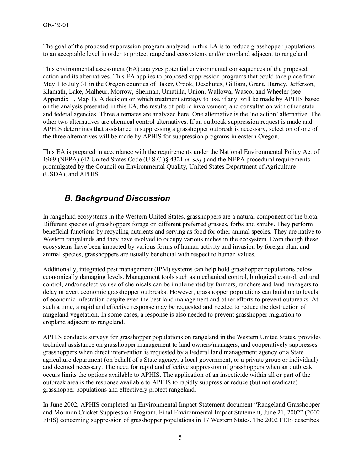The goal of the proposed suppression program analyzed in this EA is to reduce grasshopper populations to an acceptable level in order to protect rangeland ecosystems and/or cropland adjacent to rangeland.

This environmental assessment (EA) analyzes potential environmental consequences of the proposed action and its alternatives. This EA applies to proposed suppression programs that could take place from May 1 to July 31 in the Oregon counties of Baker, Crook, Deschutes, Gilliam, Grant, Harney, Jefferson, Klamath, Lake, Malheur, Morrow, Sherman, Umatilla, Union, Wallowa, Wasco, and Wheeler (see Appendix 1, Map 1). A decision on which treatment strategy to use, if any, will be made by APHIS based on the analysis presented in this EA, the results of public involvement, and consultation with other state and federal agencies. Three alternates are analyzed here. One alternative is the 'no action' alternative. The other two alternatives are chemical control alternatives. If an outbreak suppression request is made and APHIS determines that assistance in suppressing a grasshopper outbreak is necessary, selection of one of the three alternatives will be made by APHIS for suppression programs in eastern Oregon.

This EA is prepared in accordance with the requirements under the National Environmental Policy Act of 1969 (NEPA) (42 United States Code (U.S.C.)§ 4321 *et. seq.*) and the NEPA procedural requirements promulgated by the Council on Environmental Quality, United States Department of Agriculture (USDA), and APHIS.

## *B. Background Discussion*

In rangeland ecosystems in the Western United States, grasshoppers are a natural component of the biota. Different species of grasshoppers forage on different preferred grasses, forbs and shrubs. They perform beneficial functions by recycling nutrients and serving as food for other animal species. They are native to Western rangelands and they have evolved to occupy various niches in the ecosystem. Even though these ecosystems have been impacted by various forms of human activity and invasion by foreign plant and animal species, grasshoppers are usually beneficial with respect to human values.

Additionally, integrated pest management (IPM) systems can help hold grasshopper populations below economically damaging levels. Management tools such as mechanical control, biological control, cultural control, and/or selective use of chemicals can be implemented by farmers, ranchers and land managers to delay or avert economic grasshopper outbreaks. However, grasshopper populations can build up to levels of economic infestation despite even the best land management and other efforts to prevent outbreaks. At such a time, a rapid and effective response may be requested and needed to reduce the destruction of rangeland vegetation. In some cases, a response is also needed to prevent grasshopper migration to cropland adjacent to rangeland.

APHIS conducts surveys for grasshopper populations on rangeland in the Western United States, provides technical assistance on grasshopper management to land owners/managers, and cooperatively suppresses grasshoppers when direct intervention is requested by a Federal land management agency or a State agriculture department (on behalf of a State agency, a local government, or a private group or individual) and deemed necessary. The need for rapid and effective suppression of grasshoppers when an outbreak occurs limits the options available to APHIS. The application of an insecticide within all or part of the outbreak area is the response available to APHIS to rapidly suppress or reduce (but not eradicate) grasshopper populations and effectively protect rangeland.

In June 2002, APHIS completed an Environmental Impact Statement document "Rangeland Grasshopper and Mormon Cricket Suppression Program, Final Environmental Impact Statement, June 21, 2002" (2002 FEIS) concerning suppression of grasshopper populations in 17 Western States. The 2002 FEIS describes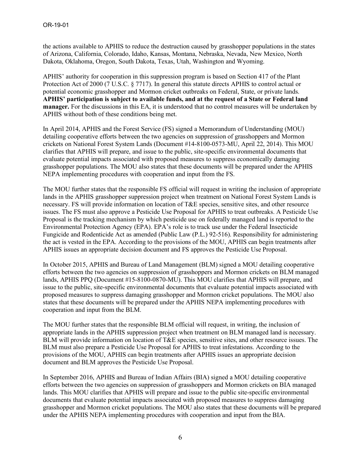the actions available to APHIS to reduce the destruction caused by grasshopper populations in the states of Arizona, California, Colorado, Idaho, Kansas, Montana, Nebraska, Nevada, New Mexico, North Dakota, Oklahoma, Oregon, South Dakota, Texas, Utah, Washington and Wyoming.

APHIS' authority for cooperation in this suppression program is based on Section 417 of the Plant Protection Act of 2000 (7 U.S.C. § 7717). In general this statute directs APHIS to control actual or potential economic grasshopper and Mormon cricket outbreaks on Federal, State, or private lands. **APHIS' participation is subject to available funds, and at the request of a State or Federal land manager.** For the discussions in this EA, it is understood that no control measures will be undertaken by APHIS without both of these conditions being met.

In April 2014, APHIS and the Forest Service (FS) signed a Memorandum of Understanding (MOU) detailing cooperative efforts between the two agencies on suppression of grasshoppers and Mormon crickets on National Forest System Lands (Document #14-8100-0573-MU, April 22, 2014). This MOU clarifies that APHIS will prepare, and issue to the public, site-specific environmental documents that evaluate potential impacts associated with proposed measures to suppress economically damaging grasshopper populations. The MOU also states that these documents will be prepared under the APHIS NEPA implementing procedures with cooperation and input from the FS.

The MOU further states that the responsible FS official will request in writing the inclusion of appropriate lands in the APHIS grasshopper suppression project when treatment on National Forest System Lands is necessary. FS will provide information on location of T&E species, sensitive sites, and other resource issues. The FS must also approve a Pesticide Use Proposal for APHIS to treat outbreaks. A Pesticide Use Proposal is the tracking mechanism by which pesticide use on federally managed land is reported to the Environmental Protection Agency (EPA). EPA's role is to track use under the Federal Insecticide Fungicide and Rodenticide Act as amended (Public Law (P.L.) 92-516). Responsibility for administering the act is vested in the EPA. According to the provisions of the MOU, APHIS can begin treatments after APHIS issues an appropriate decision document and FS approves the Pesticide Use Proposal.

In October 2015, APHIS and Bureau of Land Management (BLM) signed a MOU detailing cooperative efforts between the two agencies on suppression of grasshoppers and Mormon crickets on BLM managed lands, APHIS PPQ (Document #15-8100-0870-MU). This MOU clarifies that APHIS will prepare, and issue to the public, site-specific environmental documents that evaluate potential impacts associated with proposed measures to suppress damaging grasshopper and Mormon cricket populations. The MOU also states that these documents will be prepared under the APHIS NEPA implementing procedures with cooperation and input from the BLM.

The MOU further states that the responsible BLM official will request, in writing, the inclusion of appropriate lands in the APHIS suppression project when treatment on BLM managed land is necessary. BLM will provide information on location of T&E species, sensitive sites, and other resource issues. The BLM must also prepare a Pesticide Use Proposal for APHIS to treat infestations. According to the provisions of the MOU, APHIS can begin treatments after APHIS issues an appropriate decision document and BLM approves the Pesticide Use Proposal.

In September 2016, APHIS and Bureau of Indian Affairs (BIA) signed a MOU detailing cooperative efforts between the two agencies on suppression of grasshoppers and Mormon crickets on BIA managed lands. This MOU clarifies that APHIS will prepare and issue to the public site-specific environmental documents that evaluate potential impacts associated with proposed measures to suppress damaging grasshopper and Mormon cricket populations. The MOU also states that these documents will be prepared under the APHIS NEPA implementing procedures with cooperation and input from the BIA.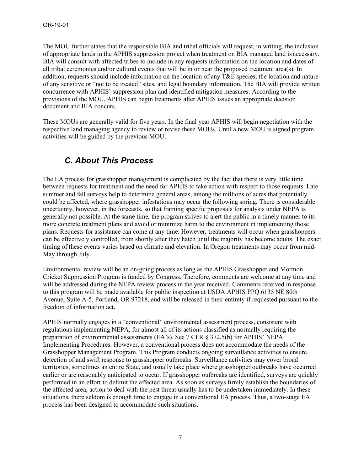The MOU further states that the responsible BIA and tribal officials will request, in writing, the inclusion of appropriate lands in the APHIS suppression project when treatment on BIA managed land isnecessary. BIA will consult with affected tribes to include in any requests information on the location and dates of all tribal ceremonies and/or cultural events that will be in or near the proposed treatment area(s). In addition, requests should include information on the location of any T&E species, the location and nature of any sensitive or "not to be treated" sites, and legal boundary information. The BIA will provide written concurrence with APHIS' suppression plan and identified mitigation measures. According to the provisions of the MOU, APHIS can begin treatments after APHIS issues an appropriate decision document and BIA concurs.

These MOUs are generally valid for five years. In the final year APHIS will begin negotiation with the respective land managing agency to review or revise these MOUs. Until a new MOU is signed program activities will be guided by the previous MOU.

## *C. About This Process*

The EA process for grasshopper management is complicated by the fact that there is very little time between requests for treatment and the need for APHIS to take action with respect to those requests. Late summer and fall surveys help to determine general areas, among the millions of acres that potentially could be affected, where grasshopper infestations may occur the following spring. There is considerable uncertainty, however, in the forecasts, so that framing specific proposals for analysis under NEPA is generally not possible. At the same time, the program strives to alert the public in a timely manner to its more concrete treatment plans and avoid or minimize harm to the environment in implementing those plans. Requests for assistance can come at any time. However, treatments will occur when grasshoppers can be effectively controlled, from shortly after they hatch until the majority has become adults. The exact timing of these events varies based on climate and elevation. In Oregon treatments may occur from mid-May through July.

Environmental review will be an on-going process as long as the APHIS Grasshopper and Mormon Cricket Suppression Program is funded by Congress. Therefore, comments are welcome at any time and will be addressed during the NEPA review process in the year received. Comments received in response to this program will be made available for public inspection at USDA APHIS PPQ 6135 NE 80th Avenue, Suite A-5, Portland, OR 97218, and will be released in their entirety if requested pursuant to the freedom of information act.

APHIS normally engages in a "conventional" environmental assessment process, consistent with regulations implementing NEPA, for almost all of its actions classified as normally requiring the preparation of environmental assessments (EA's). See 7 CFR § 372.5(b) for APHIS' NEPA Implementing Procedures. However, a conventional process does not accommodate the needs of the Grasshopper Management Program. This Program conducts ongoing surveillance activities to ensure detection of and swift response to grasshopper outbreaks. Surveillance activities may cover broad territories, sometimes an entire State, and usually take place where grasshopper outbreaks have occurred earlier or are reasonably anticipated to occur. If grasshopper outbreaks are identified, surveys are quickly performed in an effort to delimit the affected area. As soon as surveys firmly establish the boundaries of the affected area, action to deal with the pest threat usually has to be undertaken immediately. In these situations, there seldom is enough time to engage in a conventional EA process. Thus, a two-stage EA process has been designed to accommodate such situations.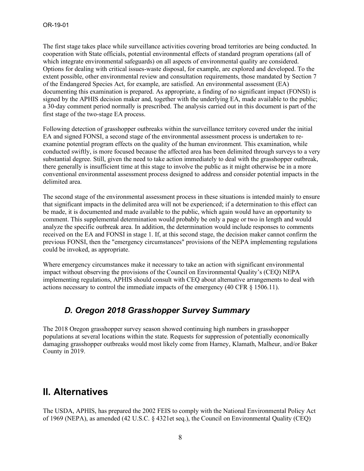The first stage takes place while surveillance activities covering broad territories are being conducted. In cooperation with State officials, potential environmental effects of standard program operations (all of which integrate environmental safeguards) on all aspects of environmental quality are considered. Options for dealing with critical issues-waste disposal, for example, are explored and developed. To the extent possible, other environmental review and consultation requirements, those mandated by Section 7 of the Endangered Species Act, for example, are satisfied. An environmental assessment (EA) documenting this examination is prepared. As appropriate, a finding of no significant impact (FONSI) is signed by the APHIS decision maker and, together with the underlying EA, made available to the public; a 30-day comment period normally is prescribed. The analysis carried out in this document is part of the first stage of the two-stage EA process.

Following detection of grasshopper outbreaks within the surveillance territory covered under the initial EA and signed FONSI, a second stage of the environmental assessment process is undertaken to reexamine potential program effects on the quality of the human environment. This examination, while conducted swiftly, is more focused because the affected area has been delimited through surveys to a very substantial degree. Still, given the need to take action immediately to deal with the grasshopper outbreak, there generally is insufficient time at this stage to involve the public as it might otherwise be in a more conventional environmental assessment process designed to address and consider potential impacts in the delimited area.

The second stage of the environmental assessment process in these situations is intended mainly to ensure that significant impacts in the delimited area will not be experienced; if a determination to this effect can be made, it is documented and made available to the public, which again would have an opportunity to comment. This supplemental determination would probably be only a page or two in length and would analyze the specific outbreak area. In addition, the determination would include responses to comments received on the EA and FONSI in stage 1. If, at this second stage, the decision maker cannot confirm the previous FONSI, then the "emergency circumstances" provisions of the NEPA implementing regulations could be invoked, as appropriate.

Where emergency circumstances make it necessary to take an action with significant environmental impact without observing the provisions of the Council on Environmental Quality's (CEQ) NEPA implementing regulations, APHIS should consult with CEQ about alternative arrangements to deal with actions necessary to control the immediate impacts of the emergency (40 CFR § 1506.11).

## *D. Oregon 2018 Grasshopper Survey Summary*

The 2018 Oregon grasshopper survey season showed continuing high numbers in grasshopper populations at several locations within the state. Requests for suppression of potentially economically damaging grasshopper outbreaks would most likely come from Harney, Klamath, Malheur, and/or Baker County in 2019.

## **II. Alternatives**

The USDA, APHIS, has prepared the 2002 FEIS to comply with the National Environmental Policy Act of 1969 (NEPA), as amended (42 U.S.C. § 4321et seq.), the Council on Environmental Quality (CEQ)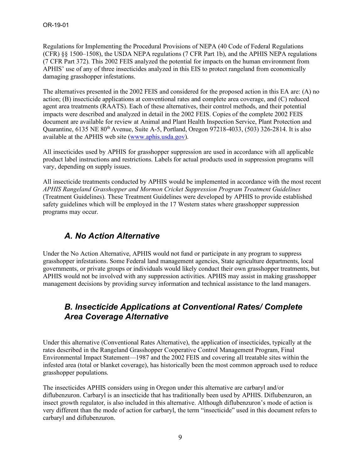Regulations for Implementing the Procedural Provisions of NEPA (40 Code of Federal Regulations (CFR) §§ 1500–1508), the USDA NEPA regulations (7 CFR Part 1b), and the APHIS NEPA regulations (7 CFR Part 372). This 2002 FEIS analyzed the potential for impacts on the human environment from APHIS' use of any of three insecticides analyzed in this EIS to protect rangeland from economically damaging grasshopper infestations.

The alternatives presented in the 2002 FEIS and considered for the proposed action in this EA are: (A) no action; (B) insecticide applications at conventional rates and complete area coverage, and (C) reduced agent area treatments (RAATS). Each of these alternatives, their control methods, and their potential impacts were described and analyzed in detail in the 2002 FEIS. Copies of the complete 2002 FEIS document are available for review at Animal and Plant Health Inspection Service, Plant Protection and Quarantine, 6135 NE 80<sup>th</sup> Avenue, Suite A-5, Portland, Oregon 97218-4033, (503) 326-2814. It is also available at the APHIS web site (www.aphis.usda.gov).

All insecticides used by APHIS for grasshopper suppression are used in accordance with all applicable product label instructions and restrictions. Labels for actual products used in suppression programs will vary, depending on supply issues.

All insecticide treatments conducted by APHIS would be implemented in accordance with the most recent *APHIS Rangeland Grasshopper and Mormon Cricket Suppression Program Treatment Guidelines*  (Treatment Guidelines). These Treatment Guidelines were developed by APHIS to provide established safety guidelines which will be employed in the 17 Western states where grasshopper suppression programs may occur.

## *A. No Action Alternative*

Under the No Action Alternative, APHIS would not fund or participate in any program to suppress grasshopper infestations. Some Federal land management agencies, State agriculture departments, local governments, or private groups or individuals would likely conduct their own grasshopper treatments, but APHIS would not be involved with any suppression activities. APHIS may assist in making grasshopper management decisions by providing survey information and technical assistance to the land managers.

## *B. Insecticide Applications at Conventional Rates/ Complete Area Coverage Alternative*

Under this alternative (Conventional Rates Alternative), the application of insecticides, typically at the rates described in the Rangeland Grasshopper Cooperative Control Management Program, Final Environmental Impact Statement—1987 and the 2002 FEIS and covering all treatable sites within the infested area (total or blanket coverage), has historically been the most common approach used to reduce grasshopper populations.

The insecticides APHIS considers using in Oregon under this alternative are carbaryl and/or diflubenzuron. Carbaryl is an insecticide that has traditionally been used by APHIS. Diflubenzuron, an insect growth regulator, is also included in this alternative. Although diflubenzuron's mode of action is very different than the mode of action for carbaryl, the term "insecticide" used in this document refers to carbaryl and diflubenzuron.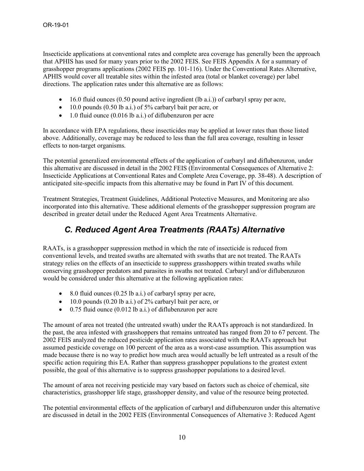Insecticide applications at conventional rates and complete area coverage has generally been the approach that APHIS has used for many years prior to the 2002 FEIS. See FEIS Appendix A for a summary of grasshopper programs applications (2002 FEIS pp. 101-116). Under the Conventional Rates Alternative, APHIS would cover all treatable sites within the infested area (total or blanket coverage) per label directions. The application rates under this alternative are as follows:

- 16.0 fluid ounces (0.50 pound active ingredient (lb a.i.)) of carbaryl spray per acre,
- $\bullet$  10.0 pounds (0.50 lb a.i.) of 5% carbaryl bait per acre, or
- $\bullet$  1.0 fluid ounce (0.016 lb a.i.) of diflubenzuron per acre

In accordance with EPA regulations, these insecticides may be applied at lower rates than those listed above. Additionally, coverage may be reduced to less than the full area coverage, resulting in lesser effects to non-target organisms.

The potential generalized environmental effects of the application of carbaryl and diflubenzuron, under this alternative are discussed in detail in the 2002 FEIS (Environmental Consequences of Alternative 2: Insecticide Applications at Conventional Rates and Complete Area Coverage, pp. 38-48). A description of anticipated site-specific impacts from this alternative may be found in Part IV of this document.

Treatment Strategies, Treatment Guidelines, Additional Protective Measures, and Monitoring are also incorporated into this alternative. These additional elements of the grasshopper suppression program are described in greater detail under the Reduced Agent Area Treatments Alternative.

## *C. Reduced Agent Area Treatments (RAATs) Alternative*

RAATs, is a grasshopper suppression method in which the rate of insecticide is reduced from conventional levels, and treated swaths are alternated with swaths that are not treated. The RAATs strategy relies on the effects of an insecticide to suppress grasshoppers within treated swaths while conserving grasshopper predators and parasites in swaths not treated. Carbaryl and/or diflubenzuron would be considered under this alternative at the following application rates:

- 8.0 fluid ounces (0.25 lb a.i.) of carbaryl spray per acre,
- 10.0 pounds  $(0.20 \text{ lb a. i.})$  of 2% carbaryl bait per acre, or
- $\bullet$  0.75 fluid ounce (0.012 lb a.i.) of diflubenzuron per acre

The amount of area not treated (the untreated swath) under the RAATs approach is not standardized. In the past, the area infested with grasshoppers that remains untreated has ranged from 20 to 67 percent. The 2002 FEIS analyzed the reduced pesticide application rates associated with the RAATs approach but assumed pesticide coverage on 100 percent of the area as a worst-case assumption. This assumption was made because there is no way to predict how much area would actually be left untreated as a result of the specific action requiring this EA. Rather than suppress grasshopper populations to the greatest extent possible, the goal of this alternative is to suppress grasshopper populations to a desired level.

The amount of area not receiving pesticide may vary based on factors such as choice of chemical, site characteristics, grasshopper life stage, grasshopper density, and value of the resource being protected.

The potential environmental effects of the application of carbaryl and diflubenzuron under this alternative are discussed in detail in the 2002 FEIS (Environmental Consequences of Alternative 3: Reduced Agent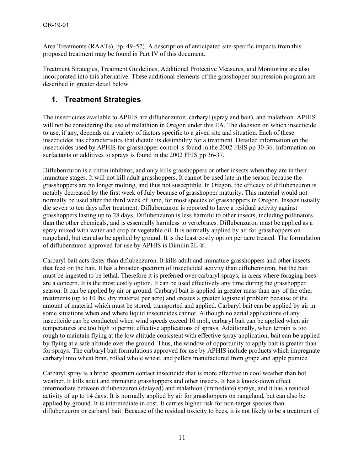Area Treatments (RAATs), pp. 49–57). A description of anticipated site-specific impacts from this proposed treatment may be found in Part IV of this document.

Treatment Strategies, Treatment Guidelines, Additional Protective Measures, and Monitoring are also incorporated into this alternative. These additional elements of the grasshopper suppression program are described in greater detail below.

### **1. Treatment Strategies**

The insecticides available to APHIS are diflubenzuron, carbaryl (spray and bait), and malathion. APHIS will not be considering the use of malathion in Oregon under this EA. The decision on which insecticide to use, if any, depends on a variety of factors specific to a given site and situation. Each of these insecticides has characteristics that dictate its desirability for a treatment. Detailed information on the insecticides used by APHIS for grasshopper control is found in the 2002 FEIS pp 30-36. Information on surfactants or additives to sprays is found in the 2002 FEIS pp 36-37.

Diflubenzuron is a chitin inhibitor, and only kills grasshoppers or other insects when they are in their immature stages. It will not kill adult grasshoppers. It cannot be used late in the season because the grasshoppers are no longer molting, and thus not susceptible. In Oregon, the efficacy of diflubenzuron is notably decreased by the first week of July because of grasshopper maturity**.** This material would not normally be used after the third week of June, for most species of grasshoppers in Oregon. Insects usually die seven to ten days after treatment. Diflubenzuron is reported to have a residual activity against grasshoppers lasting up to 28 days. Diflubenzuron is less harmful to other insects, including pollinators, than the other chemicals, and is essentially harmless to vertebrates. Diflubenzuron must be applied as a spray mixed with water and crop or vegetable oil. It is normally applied by air for grasshoppers on rangeland, but can also be applied by ground. It is the least costly option per acre treated. The formulation of diflubenzuron approved for use by APHIS is Dimilin 2L ®.

Carbaryl bait acts faster than diflubenzuron. It kills adult and immature grasshoppers and other insects that feed on the bait. It has a broader spectrum of insecticidal activity than diflubenzuron, but the bait must be ingested to be lethal. Therefore it is preferred over carbaryl sprays, in areas where foraging bees are a concern. It is the most costly option. It can be used effectively any time during the grasshopper season. It can be applied by air or ground. Carbaryl bait is applied in greater mass than any of the other treatments (up to 10 lbs. dry material per acre) and creates a greater logistical problem because of the amount of material which must be stored, transported and applied. Carbaryl bait can be applied by air in some situations when and where liquid insecticides cannot. Although no aerial applications of any insecticide can be conducted when wind speeds exceed 10 mph, carbaryl bait can be applied when air temperatures are too high to permit effective applications of sprays. Additionally, when terrain is too rough to maintain flying at the low altitude consistent with effective spray application, bait can be applied by flying at a safe altitude over the ground. Thus, the window of opportunity to apply bait is greater than for sprays. The carbaryl bait formulations approved for use by APHIS include products which impregnate carbaryl into wheat bran, rolled whole wheat, and pellets manufactured from grape and apple pumice.

Carbaryl spray is a broad spectrum contact insecticide that is more effective in cool weather than hot weather. It kills adult and immature grasshoppers and other insects. It has a knock-down effect intermediate between diflubenzuron (delayed) and malathion (immediate) sprays, and it has a residual activity of up to 14 days. It is normally applied by air for grasshoppers on rangeland, but can also be applied by ground. It is intermediate in cost. It carries higher risk for non-target species than diflubenzuron or carbaryl bait. Because of the residual toxicity to bees, it is not likely to be a treatment of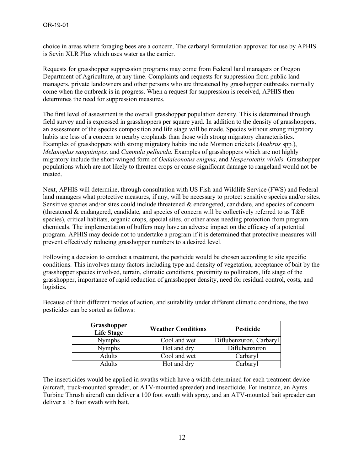choice in areas where foraging bees are a concern. The carbaryl formulation approved for use by APHIS is Sevin XLR Plus which uses water as the carrier.

Requests for grasshopper suppression programs may come from Federal land managers or Oregon Department of Agriculture, at any time. Complaints and requests for suppression from public land managers, private landowners and other persons who are threatened by grasshopper outbreaks normally come when the outbreak is in progress. When a request for suppression is received, APHIS then determines the need for suppression measures.

The first level of assessment is the overall grasshopper population density. This is determined through field survey and is expressed in grasshoppers per square yard. In addition to the density of grasshoppers, an assessment of the species composition and life stage will be made. Species without strong migratory habits are less of a concern to nearby croplands than those with strong migratory characteristics. Examples of grasshoppers with strong migratory habits include Mormon crickets (*Anabrus* spp*.*), *Melanoplus sanguinipes,* and *Camnula pellucida.* Examples of grasshoppers which are not highly migratory include the short-winged form of *Oedaleonotus enigma*, and *Hesperotettix viridis.* Grasshopper populations which are not likely to threaten crops or cause significant damage to rangeland would not be treated.

Next, APHIS will determine, through consultation with US Fish and Wildlife Service (FWS) and Federal land managers what protective measures, if any, will be necessary to protect sensitive species and/or sites. Sensitive species and/or sites could include threatened & endangered, candidate, and species of concern (threatened  $&$  endangered, candidate, and species of concern will be collectively referred to as  $T&E$ species), critical habitats, organic crops, special sites, or other areas needing protection from program chemicals. The implementation of buffers may have an adverse impact on the efficacy of a potential program. APHIS may decide not to undertake a program if it is determined that protective measures will prevent effectively reducing grasshopper numbers to a desired level.

Following a decision to conduct a treatment, the pesticide would be chosen according to site specific conditions. This involves many factors including type and density of vegetation, acceptance of bait by the grasshopper species involved, terrain, climatic conditions, proximity to pollinators, life stage of the grasshopper, importance of rapid reduction of grasshopper density, need for residual control, costs, and logistics.

| Grasshopper<br><b>Life Stage</b> | <b>Weather Conditions</b> | <b>Pesticide</b>        |
|----------------------------------|---------------------------|-------------------------|
| <b>Nymphs</b>                    | Cool and wet              | Diflubenzuron, Carbaryl |
| <b>Nymphs</b>                    | Hot and dry               | Diflubenzuron           |
| Adults                           | Cool and wet              | Carbaryl                |
| Adults                           | Hot and dry               | Carbaryl                |

Because of their different modes of action, and suitability under different climatic conditions, the two pesticides can be sorted as follows:

The insecticides would be applied in swaths which have a width determined for each treatment device (aircraft, truck-mounted spreader, or ATV-mounted spreader) and insecticide. For instance, an Ayres Turbine Thrush aircraft can deliver a 100 foot swath with spray, and an ATV-mounted bait spreader can deliver a 15 foot swath with bait.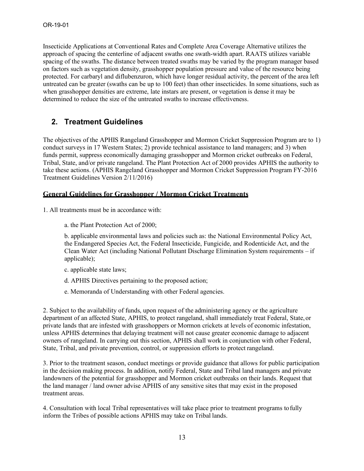Insecticide Applications at Conventional Rates and Complete Area Coverage Alternative utilizes the approach of spacing the centerline of adjacent swaths one swath-width apart. RAATS utilizes variable spacing of the swaths. The distance between treated swaths may be varied by the program manager based on factors such as vegetation density, grasshopper population pressure and value of the resource being protected. For carbaryl and diflubenzuron, which have longer residual activity, the percent of the area left untreated can be greater (swaths can be up to 100 feet) than other insecticides. In some situations, such as when grasshopper densities are extreme, late instars are present, or vegetation is dense it may be determined to reduce the size of the untreated swaths to increase effectiveness.

### **2. Treatment Guidelines**

The objectives of the APHIS Rangeland Grasshopper and Mormon Cricket Suppression Program are to 1) conduct surveys in 17 Western States; 2) provide technical assistance to land managers; and 3) when funds permit, suppress economically damaging grasshopper and Mormon cricket outbreaks on Federal, Tribal, State, and/or private rangeland. The Plant Protection Act of 2000 provides APHIS the authority to take these actions. (APHIS Rangeland Grasshopper and Mormon Cricket Suppression Program FY-2016 Treatment Guidelines Version 2/11/2016)

#### **General Guidelines for Grasshopper / Mormon Cricket Treatments**

1. All treatments must be in accordance with:

a. the Plant Protection Act of 2000;

b. applicable environmental laws and policies such as: the National Environmental Policy Act, the Endangered Species Act, the Federal Insecticide, Fungicide, and Rodenticide Act, and the Clean Water Act (including National Pollutant Discharge Elimination System requirements – if applicable);

- c. applicable state laws;
- d. APHIS Directives pertaining to the proposed action;
- e. Memoranda of Understanding with other Federal agencies.

2. Subject to the availability of funds, upon request of the administering agency or the agriculture department of an affected State, APHIS, to protect rangeland, shall immediately treat Federal, State,or private lands that are infested with grasshoppers or Mormon crickets at levels of economic infestation, unless APHIS determines that delaying treatment will not cause greater economic damage to adjacent owners of rangeland. In carrying out this section, APHIS shall work in conjunction with other Federal, State, Tribal, and private prevention, control, or suppression efforts to protect rangeland.

3. Prior to the treatment season, conduct meetings or provide guidance that allows for public participation in the decision making process. In addition, notify Federal, State and Tribal land managers and private landowners of the potential for grasshopper and Mormon cricket outbreaks on their lands. Request that the land manager / land owner advise APHIS of any sensitive sites that may exist in the proposed treatment areas.

4. Consultation with local Tribal representatives will take place prior to treatment programs tofully inform the Tribes of possible actions APHIS may take on Tribal lands.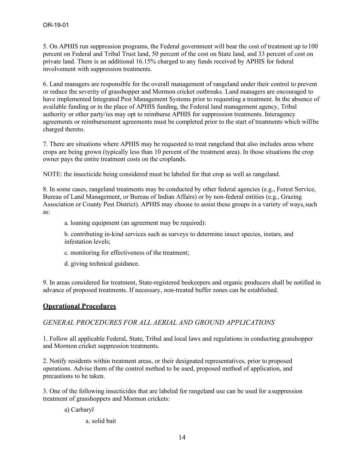5. On APHIS run suppression programs, the Federal government will bear the cost of treatment up to100 percent on Federal and Tribal Trust land, 50 percent of the cost on State land, and 33 percent of cost on private land. There is an additional 16.15% charged to any funds received by APHIS for federal involvement with suppression treatments.

6. Land managers are responsible for the overall management of rangeland under their control to prevent or reduce the severity of grasshopper and Mormon cricket outbreaks. Land managers are encouraged to have implemented Integrated Pest Management Systems prior to requesting a treatment. In the absence of available funding or in the place of APHIS funding, the Federal land management agency, Tribal authority or other party/ies may opt to reimburse APHIS for suppression treatments. Interagency agreements or reimbursement agreements must be completed prior to the start of treatments which willbe charged thereto.

7. There are situations where APHIS may be requested to treat rangeland that also includes areas where crops are being grown (typically less than 10 percent of the treatment area). In those situations the crop owner pays the entire treatment costs on the croplands.

NOTE: the insecticide being considered must be labeled for that crop as well as rangeland.

8. In some cases, rangeland treatments may be conducted by other federal agencies (e.g., Forest Service, Bureau of Land Management, or Bureau of Indian Affairs) or by non-federal entities (e.g., Grazing Association or County Pest District). APHIS may choose to assist these groups in a variety of ways, such as:

a. loaning equipment (an agreement may be required):

b. contributing in-kind services such as surveys to determine insect species, instars, and infestation levels;

- c. monitoring for effectiveness of the treatment;
- d. giving technical guidance.

9. In areas considered for treatment, State-registered beekeepers and organic producers shall be notified in advance of proposed treatments. If necessary, non-treated buffer zones can be established.

#### **Operational Procedures**

#### *GENERAL PROCEDURES FOR ALL AERIAL AND GROUND APPLICATIONS*

1. Follow all applicable Federal, State, Tribal and local laws and regulations in conducting grasshopper and Mormon cricket suppression treatments.

2. Notify residents within treatment areas, or their designated representatives, prior to proposed operations. Advise them of the control method to be used, proposed method of application, and precautions to be taken.

3. One of the following insecticides that are labeled for rangeland use can be used for a suppression treatment of grasshoppers and Mormon crickets:

a) Carbaryl

a. solid bait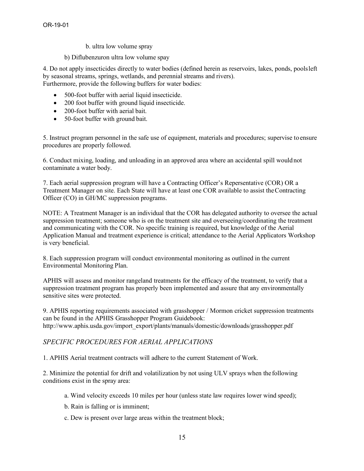- b. ultra low volume spray
- b) Diflubenzuron ultra low volume spay

4. Do not apply insecticides directly to water bodies (defined herein as reservoirs, lakes, ponds, poolsleft by seasonal streams, springs, wetlands, and perennial streams and rivers). Furthermore, provide the following buffers for water bodies:

- 500-foot buffer with aerial liquid insecticide.
- 200 foot buffer with ground liquid insecticide.
- 200-foot buffer with aerial bait.
- 50-foot buffer with ground bait.

5. Instruct program personnel in the safe use of equipment, materials and procedures; supervise to ensure procedures are properly followed.

6. Conduct mixing, loading, and unloading in an approved area where an accidental spill would not contaminate a water body.

7. Each aerial suppression program will have a Contracting Officer's Repersentative (COR) OR a Treatment Manager on site. Each State will have at least one COR available to assist theContracting Officer (CO) in GH/MC suppression programs.

NOTE: A Treatment Manager is an individual that the COR has delegated authority to oversee the actual suppression treatment; someone who is on the treatment site and overseeing/coordinating the treatment and communicating with the COR. No specific training is required, but knowledge of the Aerial Application Manual and treatment experience is critical; attendance to the Aerial Applicators Workshop is very beneficial.

8. Each suppression program will conduct environmental monitoring as outlined in the current Environmental Monitoring Plan.

APHIS will assess and monitor rangeland treatments for the efficacy of the treatment, to verify that a suppression treatment program has properly been implemented and assure that any environmentally sensitive sites were protected.

9. APHIS reporting requirements associated with grasshopper / Mormon cricket suppression treatments can be found in the APHIS Grasshopper Program Guidebook: http://www.aphis.usda.gov/import\_export/plants/manuals/domestic/downloads/grasshopper.pdf

#### *SPECIFIC PROCEDURES FOR AERIAL APPLICATIONS*

1. APHIS Aerial treatment contracts will adhere to the current Statement of Work.

2. Minimize the potential for drift and volatilization by not using ULV sprays when the following conditions exist in the spray area:

- a. Wind velocity exceeds 10 miles per hour (unless state law requires lower wind speed);
- b. Rain is falling or is imminent;
- c. Dew is present over large areas within the treatment block;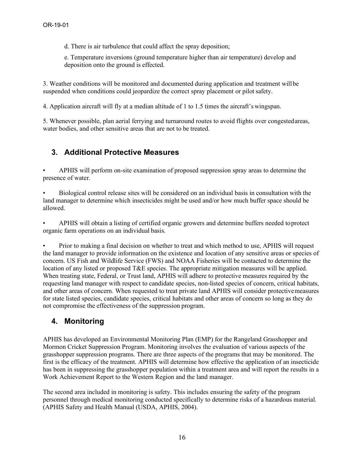d. There is air turbulence that could affect the spray deposition;

e. Temperature inversions (ground temperature higher than air temperature) develop and deposition onto the ground is effected.

3. Weather conditions will be monitored and documented during application and treatment willbe suspended when conditions could jeopardize the correct spray placement or pilot safety.

4. Application aircraft will fly at a median altitude of 1 to 1.5 times the aircraft's wingspan.

5. Whenever possible, plan aerial ferrying and turnaround routes to avoid flights over congestedareas, water bodies, and other sensitive areas that are not to be treated.

### **3. Additional Protective Measures**

• APHIS will perform on-site examination of proposed suppression spray areas to determine the presence of water.

• Biological control release sites will be considered on an individual basis in consultation with the land manager to determine which insecticides might be used and/or how much buffer space should be allowed.

• APHIS will obtain a listing of certified organic growers and determine buffers needed toprotect organic farm operations on an individual basis.

• Prior to making a final decision on whether to treat and which method to use, APHIS will request the land manager to provide information on the existence and location of any sensitive areas or species of concern. US Fish and Wildlife Service (FWS) and NOAA Fisheries will be contacted to determine the location of any listed or proposed T&E species. The appropriate mitigation measures will be applied. When treating state, Federal, or Trust land, APHIS will adhere to protective measures required by the requesting land manager with respect to candidate species, non-listed species of concern, critical habitats, and other areas of concern. When requested to treat private land APHIS will consider protectivemeasures for state listed species, candidate species, critical habitats and other areas of concern so long as they do not compromise the effectiveness of the suppression program.

### **4. Monitoring**

APHIS has developed an Environmental Monitoring Plan (EMP) for the Rangeland Grasshopper and Mormon Cricket Suppression Program. Monitoring involves the evaluation of various aspects of the grasshopper suppression programs. There are three aspects of the programs that may be monitored. The first is the efficacy of the treatment. APHIS will determine how effective the application of an insecticide has been in suppressing the grasshopper population within a treatment area and will report the results in a Work Achievement Report to the Western Region and the land manager.

The second area included in monitoring is safety. This includes ensuring the safety of the program personnel through medical monitoring conducted specifically to determine risks of a hazardous material. (APHIS Safety and Health Manual (USDA, APHIS, 2004).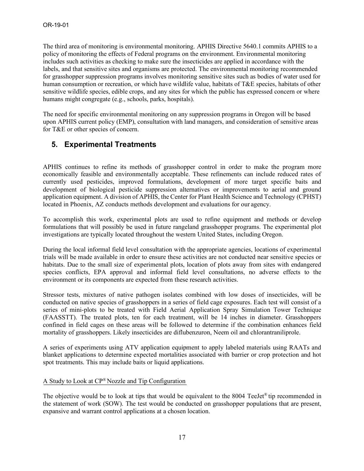The third area of monitoring is environmental monitoring. APHIS Directive 5640.1 commits APHIS to a policy of monitoring the effects of Federal programs on the environment. Environmental monitoring includes such activities as checking to make sure the insecticides are applied in accordance with the labels, and that sensitive sites and organisms are protected. The environmental monitoring recommended for grasshopper suppression programs involves monitoring sensitive sites such as bodies of water used for human consumption or recreation, or which have wildlife value, habitats of T&E species, habitats of other sensitive wildlife species, edible crops, and any sites for which the public has expressed concern or where humans might congregate (e.g., schools, parks, hospitals).

The need for specific environmental monitoring on any suppression programs in Oregon will be based upon APHIS current policy (EMP), consultation with land managers, and consideration of sensitive areas for T&E or other species of concern.

### **5. Experimental Treatments**

APHIS continues to refine its methods of grasshopper control in order to make the program more economically feasible and environmentally acceptable. These refinements can include reduced rates of currently used pesticides, improved formulations, development of more target specific baits and development of biological pesticide suppression alternatives or improvements to aerial and ground application equipment. A division of APHIS, the Center for Plant Health Science and Technology (CPHST) located in Phoenix, AZ conducts methods development and evaluations for our agency.

To accomplish this work, experimental plots are used to refine equipment and methods or develop formulations that will possibly be used in future rangeland grasshopper programs. The experimental plot investigations are typically located throughout the western United States, including Oregon.

During the local informal field level consultation with the appropriate agencies, locations of experimental trials will be made available in order to ensure these activities are not conducted near sensitive species or habitats. Due to the small size of experimental plots, location of plots away from sites with endangered species conflicts, EPA approval and informal field level consultations, no adverse effects to the environment or its components are expected from these research activities.

Stressor tests, mixtures of native pathogen isolates combined with low doses of insecticides, will be conducted on native species of grasshoppers in a series of field cage exposures. Each test will consist of a series of mini-plots to be treated with Field Aerial Application Spray Simulation Tower Technique (FAASSTT). The treated plots, ten for each treatment, will be 14 inches in diameter. Grasshoppers confined in field cages on these areas will be followed to determine if the combination enhances field mortality of grasshoppers. Likely insecticides are diflubenzuron, Neem oil and chlorantraniliprole.

A series of experiments using ATV application equipment to apply labeled materials using RAATs and blanket applications to determine expected mortalities associated with barrier or crop protection and hot spot treatments. This may include baits or liquid applications.

#### A Study to Look at CP® Nozzle and Tip Configuration

The objective would be to look at tips that would be equivalent to the 8004 TeeJet<sup>®</sup> tip recommended in the statement of work (SOW). The test would be conducted on grasshopper populations that are present, expansive and warrant control applications at a chosen location.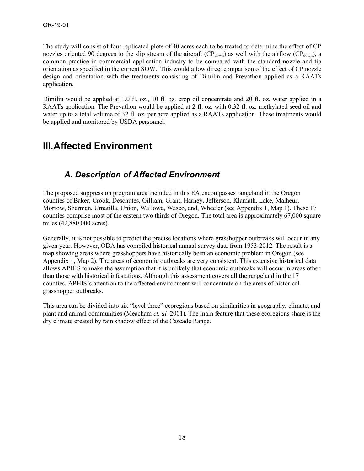The study will consist of four replicated plots of 40 acres each to be treated to determine the effect of CP nozzles oriented 90 degrees to the slip stream of the aircraft ( $CP_{down}$ ) as well with the airflow ( $CP_{down}$ ), a common practice in commercial application industry to be compared with the standard nozzle and tip orientation as specified in the current SOW. This would allow direct comparison of the effect of CP nozzle design and orientation with the treatments consisting of Dimilin and Prevathon applied as a RAATs application.

Dimilin would be applied at 1.0 fl. oz., 10 fl. oz. crop oil concentrate and 20 fl. oz. water applied in a RAATs application. The Prevathon would be applied at 2 fl. oz. with 0.32 fl. oz. methylated seed oil and water up to a total volume of 32 fl. oz. per acre applied as a RAATs application. These treatments would be applied and monitored by USDA personnel.

## **III.Affected Environment**

## *A. Description of Affected Environment*

The proposed suppression program area included in this EA encompasses rangeland in the Oregon counties of Baker, Crook, Deschutes, Gilliam, Grant, Harney, Jefferson, Klamath, Lake, Malheur, Morrow, Sherman, Umatilla, Union, Wallowa, Wasco, and, Wheeler (see Appendix 1, Map 1). These 17 counties comprise most of the eastern two thirds of Oregon. The total area is approximately 67,000 square miles (42,880,000 acres).

Generally, it is not possible to predict the precise locations where grasshopper outbreaks will occur in any given year. However, ODA has compiled historical annual survey data from 1953-2012. The result is a map showing areas where grasshoppers have historically been an economic problem in Oregon (see Appendix 1, Map 2). The areas of economic outbreaks are very consistent. This extensive historical data allows APHIS to make the assumption that it is unlikely that economic outbreaks will occur in areas other than those with historical infestations. Although this assessment covers all the rangeland in the 17 counties, APHIS's attention to the affected environment will concentrate on the areas of historical grasshopper outbreaks.

This area can be divided into six "level three" ecoregions based on similarities in geography, climate, and plant and animal communities (Meacham *et. al.* 2001). The main feature that these ecoregions share is the dry climate created by rain shadow effect of the Cascade Range.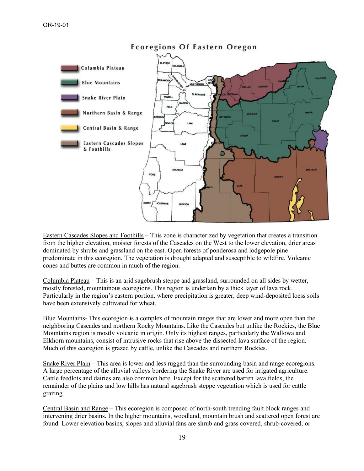

Eastern Cascades Slopes and Foothills – This zone is characterized by vegetation that creates a transition from the higher elevation, moister forests of the Cascades on the West to the lower elevation, drier areas dominated by shrubs and grassland on the east. Open forests of ponderosa and lodgepole pine predominate in this ecoregion. The vegetation is drought adapted and susceptible to wildfire. Volcanic cones and buttes are common in much of the region.

Columbia Plateau – This is an arid sagebrush steppe and grassland, surrounded on all sides by wetter, mostly forested, mountainous ecoregions. This region is underlain by a thick layer of lava rock. Particularly in the region's eastern portion, where precipitation is greater, deep wind-deposited loess soils have been extensively cultivated for wheat.

Blue Mountains- This ecoregion is a complex of mountain ranges that are lower and more open than the neighboring Cascades and northern Rocky Mountains. Like the Cascades but unlike the Rockies, the Blue Mountains region is mostly volcanic in origin. Only its highest ranges, particularly the Wallowa and Elkhorn mountains, consist of intrusive rocks that rise above the dissected lava surface of the region. Much of this ecoregion is grazed by cattle, unlike the Cascades and northern Rockies.

Snake River Plain – This area is lower and less rugged than the surrounding basin and range ecoregions. A large percentage of the alluvial valleys bordering the Snake River are used for irrigated agriculture. Cattle feedlots and dairies are also common here. Except for the scattered barren lava fields, the remainder of the plains and low hills has natural sagebrush steppe vegetation which is used for cattle grazing.

Central Basin and Range – This ecoregion is composed of north-south trending fault block ranges and intervening drier basins. In the higher mountains, woodland, mountain brush and scattered open forest are found. Lower elevation basins, slopes and alluvial fans are shrub and grass covered, shrub-covered, or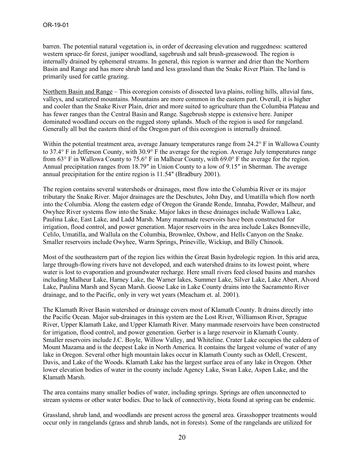barren. The potential natural vegetation is, in order of decreasing elevation and ruggedness: scattered western spruce-fir forest, juniper woodland, sagebrush and salt brush-greasewood. The region is internally drained by ephemeral streams. In general, this region is warmer and drier than the Northern Basin and Range and has more shrub land and less grassland than the Snake River Plain. The land is primarily used for cattle grazing.

Northern Basin and Range – This ecoregion consists of dissected lava plains, rolling hills, alluvial fans, valleys, and scattered mountains. Mountains are more common in the eastern part. Overall, it is higher and cooler than the Snake River Plain, drier and more suited to agriculture than the Columbia Plateau and has fewer ranges than the Central Basin and Range. Sagebrush steppe is extensive here. Juniper dominated woodland occurs on the rugged stony uplands. Much of the region is used for rangeland. Generally all but the eastern third of the Oregon part of this ecoregion is internally drained.

Within the potential treatment area, average January temperatures range from 24.2° F in Wallowa County to 37.4° F in Jefferson County, with 30.9° F the average for the region. Average July temperatures range from 63° F in Wallowa County to 75.6° F in Malheur County, with 69.0° F the average for the region. Annual precipitation ranges from 18.79″ in Union County to a low of 9.15″ in Sherman. The average annual precipitation for the entire region is 11.54″ (Bradbury 2001).

The region contains several watersheds or drainages, most flow into the Columbia River or its major tributary the Snake River. Major drainages are the Deschutes, John Day, and Umatilla which flow north into the Columbia. Along the eastern edge of Oregon the Grande Ronde, Imnaha, Powder, Malheur, and Owyhee River systems flow into the Snake. Major lakes in these drainages include Wallowa Lake, Paulina Lake, East Lake, and Ladd Marsh. Many manmade reservoirs have been constructed for irrigation, flood control, and power generation. Major reservoirs in the area include Lakes Bonneville, Celilo, Umatilla, and Wallula on the Columbia, Brownlee, Oxbow, and Hells Canyon on the Snake. Smaller reservoirs include Owyhee, Warm Springs, Prineville, Wickiup, and Billy Chinook.

Most of the southeastern part of the region lies within the Great Basin hydrologic region. In this arid area, large through-flowing rivers have not developed, and each watershed drains to its lowest point, where water is lost to evaporation and groundwater recharge. Here small rivers feed closed basins and marshes including Malheur Lake, Harney Lake, the Warner lakes, Summer Lake, Silver Lake, Lake Abert, Alvord Lake, Paulina Marsh and Sycan Marsh. Goose Lake in Lake County drains into the Sacramento River drainage, and to the Pacific, only in very wet years (Meacham et. al. 2001).

The Klamath River Basin watershed or drainage covers most of Klamath County. It drains directly into the Pacific Ocean. Major sub-drainages in this system are the Lost River, Williamson River, Sprague River, Upper Klamath Lake, and Upper Klamath River. Many manmade reservoirs have been constructed for irrigation, flood control, and power generation. Gerber is a large reservoir in Klamath County. Smaller reservoirs include J.C. Boyle, Willow Valley, and Whiteline. Crater Lake occupies the caldera of Mount Mazama and is the deepest Lake in North America. It contains the largest volume of water of any lake in Oregon. Several other high mountain lakes occur in Klamath County such as Odell, Crescent, Davis, and Lake of the Woods. Klamath Lake has the largest surface area of any lake in Oregon. Other lower elevation bodies of water in the county include Agency Lake, Swan Lake, Aspen Lake, and the Klamath Marsh.

The area contains many smaller bodies of water, including springs. Springs are often unconnected to stream systems or other water bodies. Due to lack of connectivity, biota found at spring can be endemic.

Grassland, shrub land, and woodlands are present across the general area. Grasshopper treatments would occur only in rangelands (grass and shrub lands, not in forests). Some of the rangelands are utilized for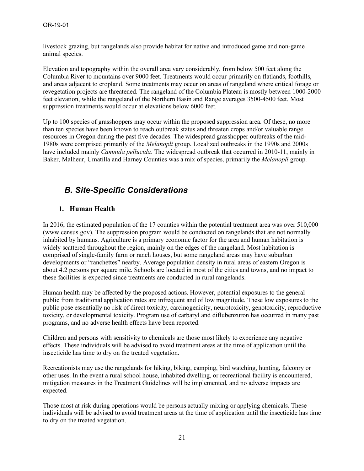livestock grazing, but rangelands also provide habitat for native and introduced game and non-game animal species.

Elevation and topography within the overall area vary considerably, from below 500 feet along the Columbia River to mountains over 9000 feet. Treatments would occur primarily on flatlands, foothills, and areas adjacent to cropland. Some treatments may occur on areas of rangeland where critical forage or revegetation projects are threatened. The rangeland of the Columbia Plateau is mostly between 1000-2000 feet elevation, while the rangeland of the Northern Basin and Range averages 3500-4500 feet. Most suppression treatments would occur at elevations below 6000 feet.

Up to 100 species of grasshoppers may occur within the proposed suppression area. Of these, no more than ten species have been known to reach outbreak status and threaten crops and/or valuable range resources in Oregon during the past five decades. The widespread grasshopper outbreaks of the mid-1980s were comprised primarily of the *Melanopli* group. Localized outbreaks in the 1990s and 2000s have included mainly *Camnula pellucida.* The widespread outbreak that occurred in 2010-11, mainly in Baker, Malheur, Umatilla and Harney Counties was a mix of species, primarily the *Melanopli* group.

## *B. Site-Specific Considerations*

#### **1. Human Health**

In 2016, the estimated population of the 17 counties within the potential treatment area was over 510,000 (www.census.gov). The suppression program would be conducted on rangelands that are not normally inhabited by humans. Agriculture is a primary economic factor for the area and human habitation is widely scattered throughout the region, mainly on the edges of the rangeland. Most habitation is comprised of single-family farm or ranch houses, but some rangeland areas may have suburban developments or "ranchettes" nearby. Average population density in rural areas of eastern Oregon is about 4.2 persons per square mile. Schools are located in most of the cities and towns, and no impact to these facilities is expected since treatments are conducted in rural rangelands.

Human health may be affected by the proposed actions. However, potential exposures to the general public from traditional application rates are infrequent and of low magnitude. These low exposures to the public pose essentially no risk of direct toxicity, carcinogenicity, neurotoxicity, genotoxicity, reproductive toxicity, or developmental toxicity. Program use of carbaryl and diflubenzuron has occurred in many past programs, and no adverse health effects have been reported.

Children and persons with sensitivity to chemicals are those most likely to experience any negative effects. These individuals will be advised to avoid treatment areas at the time of application until the insecticide has time to dry on the treated vegetation.

Recreationists may use the rangelands for hiking, biking, camping, bird watching, hunting, falconry or other uses. In the event a rural school house, inhabited dwelling, or recreational facility is encountered, mitigation measures in the Treatment Guidelines will be implemented, and no adverse impacts are expected.

Those most at risk during operations would be persons actually mixing or applying chemicals. These individuals will be advised to avoid treatment areas at the time of application until the insecticide has time to dry on the treated vegetation.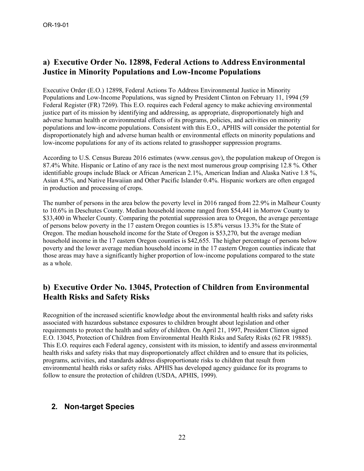### **a) Executive Order No. 12898, Federal Actions to Address Environmental Justice in Minority Populations and Low-Income Populations**

Executive Order (E.O.) 12898, Federal Actions To Address Environmental Justice in Minority Populations and Low-Income Populations, was signed by President Clinton on February 11, 1994 (59 Federal Register (FR) 7269). This E.O. requires each Federal agency to make achieving environmental justice part of its mission by identifying and addressing, as appropriate, disproportionately high and adverse human health or environmental effects of its programs, policies, and activities on minority populations and low-income populations. Consistent with this E.O., APHIS will consider the potential for disproportionately high and adverse human health or environmental effects on minority populations and low-income populations for any of its actions related to grasshopper suppression programs.

According to U.S. Census Bureau 2016 estimates (www.census.gov), the population makeup of Oregon is 87.4% White. Hispanic or Latino of any race is the next most numerous group comprising 12.8 %. Other identifiable groups include Black or African American 2.1%, American Indian and Alaska Native 1.8 %, Asian 4.5%, and Native Hawaiian and Other Pacific Islander 0.4%. Hispanic workers are often engaged in production and processing of crops.

The number of persons in the area below the poverty level in 2016 ranged from 22.9% in Malheur County to 10.6% in Deschutes County. Median household income ranged from \$54,441 in Morrow County to \$33,400 in Wheeler County. Comparing the potential suppression area to Oregon, the average percentage of persons below poverty in the 17 eastern Oregon counties is 15.8% versus 13.3% for the State of Oregon. The median household income for the State of Oregon is \$53,270, but the average median household income in the 17 eastern Oregon counties is \$42,655. The higher percentage of persons below poverty and the lower average median household income in the 17 eastern Oregon counties indicate that those areas may have a significantly higher proportion of low-income populations compared to the state as a whole.

## **b) Executive Order No. 13045, Protection of Children from Environmental Health Risks and Safety Risks**

Recognition of the increased scientific knowledge about the environmental health risks and safety risks associated with hazardous substance exposures to children brought about legislation and other requirements to protect the health and safety of children. On April 21, 1997, President Clinton signed E.O. 13045, Protection of Children from Environmental Health Risks and Safety Risks (62 FR 19885). This E.O. requires each Federal agency, consistent with its mission, to identify and assess environmental health risks and safety risks that may disproportionately affect children and to ensure that its policies, programs, activities, and standards address disproportionate risks to children that result from environmental health risks or safety risks. APHIS has developed agency guidance for its programs to follow to ensure the protection of children (USDA, APHIS, 1999).

### **2. Non-target Species**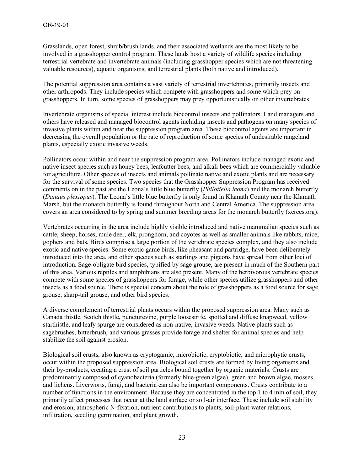Grasslands, open forest, shrub/brush lands, and their associated wetlands are the most likely to be involved in a grasshopper control program. These lands host a variety of wildlife species including terrestrial vertebrate and invertebrate animals (including grasshopper species which are not threatening valuable resources), aquatic organisms, and terrestrial plants (both native and introduced).

The potential suppression area contains a vast variety of terrestrial invertebrates, primarily insects and other arthropods. They include species which compete with grasshoppers and some which prey on grasshoppers. In turn, some species of grasshoppers may prey opportunistically on other invertebrates.

Invertebrate organisms of special interest include biocontrol insects and pollinators. Land managers and others have released and managed biocontrol agents including insects and pathogens on many species of invasive plants within and near the suppression program area. These biocontrol agents are important in decreasing the overall population or the rate of reproduction of some species of undesirable rangeland plants, especially exotic invasive weeds.

Pollinators occur within and near the suppression program area. Pollinators include managed exotic and native insect species such as honey bees, leafcutter bees, and alkali bees which are commercially valuable for agriculture. Other species of insects and animals pollinate native and exotic plants and are necessary for the survival of some species. Two species that the Grasshopper Suppression Program has received comments on in the past are the Leona's little blue butterfly (*Philotiella leona*) and the monarch butterfly (*Danaus plexippus*). The Leona's little blue butterfly is only found in Klamath County near the Klamath Marsh, but the monarch butterfly is found throughout North and Central America. The suppression area covers an area considered to by spring and summer breeding areas for the monarch butterfly (xerces.org).

Vertebrates occurring in the area include highly visible introduced and native mammalian species such as cattle, sheep, horses, mule deer, elk, pronghorn, and coyotes as well as smaller animals like rabbits, mice, gophers and bats. Birds comprise a large portion of the vertebrate species complex, and they also include exotic and native species. Some exotic game birds, like pheasant and partridge, have been deliberately introduced into the area, and other species such as starlings and pigeons have spread from other loci of introduction. Sage-obligate bird species, typified by sage grouse, are present in much of the Southern part of this area. Various reptiles and amphibians are also present. Many of the herbivorous vertebrate species compete with some species of grasshoppers for forage, while other species utilize grasshoppers and other insects as a food source. There is special concern about the role of grasshoppers as a food source for sage grouse, sharp-tail grouse, and other bird species.

A diverse complement of terrestrial plants occurs within the proposed suppression area. Many such as Canada thistle, Scotch thistle, puncturevine, purple loosestrife, spotted and diffuse knapweed, yellow starthistle, and leafy spurge are considered as non-native, invasive weeds. Native plants such as sagebrushes, bitterbrush, and various grasses provide forage and shelter for animal species and help stabilize the soil against erosion.

Biological soil crusts, also known as cryptogamic, microbiotic, cryptobiotic, and microphytic crusts, occur within the proposed suppression area. Biological soil crusts are formed by living organisms and their by-products, creating a crust of soil particles bound together by organic materials. Crusts are predominantly composed of cyanobacteria (formerly blue-green algae), green and brown algae, mosses, and lichens. Liverworts, fungi, and bacteria can also be important components. Crusts contribute to a number of functions in the environment. Because they are concentrated in the top 1 to 4 mm of soil, they primarily affect processes that occur at the land surface or soil-air interface. These include soil stability and erosion, atmospheric N-fixation, nutrient contributions to plants, soil-plant-water relations, infiltration, seedling germination, and plant growth.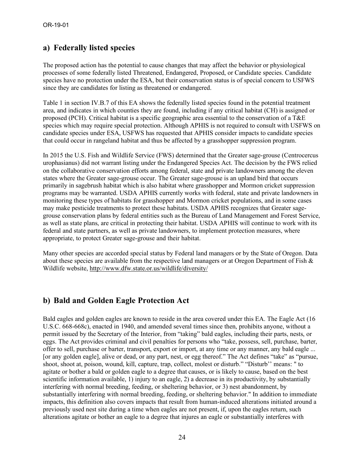### **a) Federally listed species**

The proposed action has the potential to cause changes that may affect the behavior or physiological processes of some federally listed Threatened, Endangered, Proposed, or Candidate species. Candidate species have no protection under the ESA, but their conservation status is of special concern to USFWS since they are candidates for listing as threatened or endangered.

Table 1 in section IV.B.7 of this EA shows the federally listed species found in the potential treatment area, and indicates in which counties they are found, including if any critical habitat (CH) is assigned or proposed (PCH). Critical habitat is a specific geographic area essential to the conservation of a T&E species which may require special protection. Although APHIS is not required to consult with USFWS on candidate species under ESA, USFWS has requested that APHIS consider impacts to candidate species that could occur in rangeland habitat and thus be affected by a grasshopper suppression program.

In 2015 the U.S. Fish and Wildlife Service (FWS) determined that the Greater sage-grouse (Centrocercus urophasianus) did not warrant listing under the Endangered Species Act. The decision by the FWS relied on the collaborative conservation efforts among federal, state and private landowners among the eleven states where the Greater sage-grouse occur. The Greater sage-grouse is an upland bird that occurs primarily in sagebrush habitat which is also habitat where grasshopper and Mormon cricket suppression programs may be warranted. USDA APHIS currently works with federal, state and private landowners in monitoring these types of habitats for grasshopper and Mormon cricket populations, and in some cases may make pesticide treatments to protect these habitats. USDA APHIS recognizes that Greater sagegrouse conservation plans by federal entities such as the Bureau of Land Management and Forest Service, as well as state plans, are critical in protecting their habitat. USDA APHIS will continue to work with its federal and state partners, as well as private landowners, to implement protection measures, where appropriate, to protect Greater sage-grouse and their habitat.

Many other species are accorded special status by Federal land managers or by the State of Oregon. Data about these species are available from the respective land managers or at Oregon Department of Fish  $\&$ Wildlife website, http://www.dfw.state.or.us/wildlife/diversity/

### **b) Bald and Golden Eagle Protection Act**

Bald eagles and golden eagles are known to reside in the area covered under this EA. The Eagle Act (16 U.S.C. 668-668c), enacted in 1940, and amended several times since then, prohibits anyone, without a permit issued by the Secretary of the Interior, from "taking" bald eagles, including their parts, nests, or eggs. The Act provides criminal and civil penalties for persons who "take, possess, sell, purchase, barter, offer to sell, purchase or barter, transport, export or import, at any time or any manner, any bald eagle ... [or any golden eagle], alive or dead, or any part, nest, or egg thereof." The Act defines "take" as "pursue, shoot, shoot at, poison, wound, kill, capture, trap, collect, molest or disturb." "Disturb'' means: " to agitate or bother a bald or golden eagle to a degree that causes, or is likely to cause, based on the best scientific information available, 1) injury to an eagle, 2) a decrease in its productivity, by substantially interfering with normal breeding, feeding, or sheltering behavior, or 3) nest abandonment, by substantially interfering with normal breeding, feeding, or sheltering behavior." In addition to immediate impacts, this definition also covers impacts that result from human-induced alterations initiated around a previously used nest site during a time when eagles are not present, if, upon the eagles return, such alterations agitate or bother an eagle to a degree that injures an eagle or substantially interferes with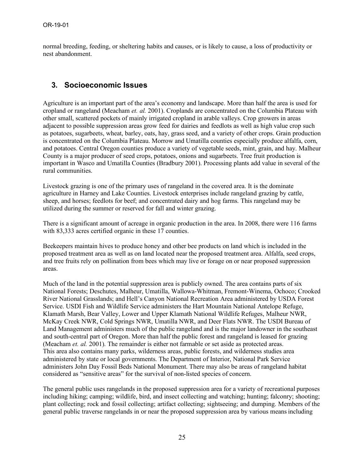normal breeding, feeding, or sheltering habits and causes, or is likely to cause, a loss of productivity or nest abandonment.

### **3. Socioeconomic Issues**

Agriculture is an important part of the area's economy and landscape. More than half the area is used for cropland or rangeland (Meacham *et. al.* 2001). Croplands are concentrated on the Columbia Plateau with other small, scattered pockets of mainly irrigated cropland in arable valleys. Crop growers in areas adjacent to possible suppression areas grow feed for dairies and feedlots as well as high value crop such as potatoes, sugarbeets, wheat, barley, oats, hay, grass seed, and a variety of other crops. Grain production is concentrated on the Columbia Plateau. Morrow and Umatilla counties especially produce alfalfa, corn, and potatoes. Central Oregon counties produce a variety of vegetable seeds, mint, grain, and hay. Malheur County is a major producer of seed crops, potatoes, onions and sugarbeets. Tree fruit production is important in Wasco and Umatilla Counties (Bradbury 2001). Processing plants add value in several of the rural communities.

Livestock grazing is one of the primary uses of rangeland in the covered area. It is the dominate agriculture in Harney and Lake Counties. Livestock enterprises include rangeland grazing by cattle, sheep, and horses; feedlots for beef; and concentrated dairy and hog farms. This rangeland may be utilized during the summer or reserved for fall and winter grazing.

There is a significant amount of acreage in organic production in the area. In 2008, there were 116 farms with 83,333 acres certified organic in these 17 counties.

Beekeepers maintain hives to produce honey and other bee products on land which is included in the proposed treatment area as well as on land located near the proposed treatment area. Alfalfa, seed crops, and tree fruits rely on pollination from bees which may live or forage on or near proposed suppression areas.

Much of the land in the potential suppression area is publicly owned. The area contains parts of six National Forests; Deschutes, Malheur, Umatilla, Wallowa-Whitman, Fremont-Winema, Ochoco; Crooked River National Grasslands; and Hell's Canyon National Recreation Area administered by USDA Forest Service. USDI Fish and Wildlife Service administers the Hart Mountain National Antelope Refuge, Klamath Marsh, Bear Valley, Lower and Upper Klamath National Wildlife Refuges, Malheur NWR, McKay Creek NWR, Cold Springs NWR, Umatilla NWR, and Deer Flats NWR. The USDI Bureau of Land Management administers much of the public rangeland and is the major landowner in the southeast and south-central part of Oregon. More than half the public forest and rangeland is leased for grazing (Meacham *et. al.* 2001). The remainder is either not farmable or set aside as protected areas. This area also contains many parks, wilderness areas, public forests, and wilderness studies area administered by state or local governments. The Department of Interior, National Park Service administers John Day Fossil Beds National Monument. There may also be areas of rangeland habitat considered as "sensitive areas" for the survival of non-listed species of concern.

The general public uses rangelands in the proposed suppression area for a variety of recreational purposes including hiking; camping; wildlife, bird, and insect collecting and watching; hunting; falconry; shooting; plant collecting; rock and fossil collecting; artifact collecting; sightseeing; and dumping. Members of the general public traverse rangelands in or near the proposed suppression area by various meansincluding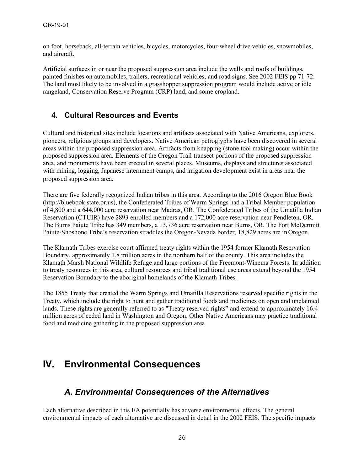on foot, horseback, all-terrain vehicles, bicycles, motorcycles, four-wheel drive vehicles, snowmobiles, and aircraft.

Artificial surfaces in or near the proposed suppression area include the walls and roofs of buildings, painted finishes on automobiles, trailers, recreational vehicles, and road signs. See 2002 FEIS pp 71-72. The land most likely to be involved in a grasshopper suppression program would include active or idle rangeland, Conservation Reserve Program (CRP) land, and some cropland.

### **4. Cultural Resources and Events**

Cultural and historical sites include locations and artifacts associated with Native Americans, explorers, pioneers, religious groups and developers. Native American petroglyphs have been discovered in several areas within the proposed suppression area. Artifacts from knapping (stone tool making) occur within the proposed suppression area. Elements of the Oregon Trail transect portions of the proposed suppression area, and monuments have been erected in several places. Museums, displays and structures associated with mining, logging, Japanese internment camps, and irrigation development exist in areas near the proposed suppression area.

There are five federally recognized Indian tribes in this area. According to the 2016 Oregon Blue Book (http://bluebook.state.or.us), the Confederated Tribes of Warm Springs had a Tribal Member population of 4,800 and a 644,000 acre reservation near Madras, OR. The Confederated Tribes of the Umatilla Indian Reservation (CTUIR) have 2893 enrolled members and a 172,000 acre reservation near Pendleton, OR. The Burns Paiute Tribe has 349 members, a 13,736 acre reservation near Burns, OR. The Fort McDermitt Paiute-Shoshone Tribe's reservation straddles the Oregon-Nevada border, 18,829 acres are in Oregon.

The Klamath Tribes exercise court affirmed treaty rights within the 1954 former Klamath Reservation Boundary, approximately 1.8 million acres in the northern half of the county. This area includes the Klamath Marsh National Wildlife Refuge and large portions of the Freemont-Winema Forests. In addition to treaty resources in this area, cultural resources and tribal traditional use areas extend beyond the 1954 Reservation Boundary to the aboriginal homelands of the Klamath Tribes.

The 1855 Treaty that created the Warm Springs and Umatilla Reservations reserved specific rights in the Treaty, which include the right to hunt and gather traditional foods and medicines on open and unclaimed lands. These rights are generally referred to as "Treaty reserved rights" and extend to approximately 16.4 million acres of ceded land in Washington and Oregon. Other Native Americans may practice traditional food and medicine gathering in the proposed suppression area.

## **IV. Environmental Consequences**

## *A. Environmental Consequences of the Alternatives*

Each alternative described in this EA potentially has adverse environmental effects. The general environmental impacts of each alternative are discussed in detail in the 2002 FEIS. The specific impacts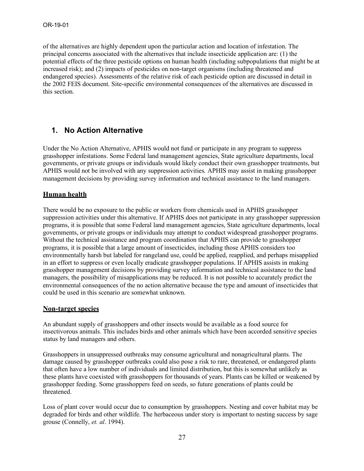of the alternatives are highly dependent upon the particular action and location of infestation. The principal concerns associated with the alternatives that include insecticide application are: (1) the potential effects of the three pesticide options on human health (including subpopulations that might be at increased risk); and (2) impacts of pesticides on non-target organisms (including threatened and endangered species). Assessments of the relative risk of each pesticide option are discussed in detail in the 2002 FEIS document. Site-specific environmental consequences of the alternatives are discussed in this section.

### **1. No Action Alternative**

Under the No Action Alternative, APHIS would not fund or participate in any program to suppress grasshopper infestations. Some Federal land management agencies, State agriculture departments, local governments, or private groups or individuals would likely conduct their own grasshopper treatments, but APHIS would not be involved with any suppression activities. APHIS may assist in making grasshopper management decisions by providing survey information and technical assistance to the land managers.

#### **Human health**

There would be no exposure to the public or workers from chemicals used in APHIS grasshopper suppression activities under this alternative. If APHIS does not participate in any grasshopper suppression programs, it is possible that some Federal land management agencies, State agriculture departments, local governments, or private groups or individuals may attempt to conduct widespread grasshopper programs. Without the technical assistance and program coordination that APHIS can provide to grasshopper programs, it is possible that a large amount of insecticides, including those APHIS considers too environmentally harsh but labeled for rangeland use, could be applied, reapplied, and perhaps misapplied in an effort to suppress or even locally eradicate grasshopper populations. If APHIS assists in making grasshopper management decisions by providing survey information and technical assistance to the land managers, the possibility of misapplications may be reduced. It is not possible to accurately predict the environmental consequences of the no action alternative because the type and amount of insecticides that could be used in this scenario are somewhat unknown.

#### **Non-target species**

An abundant supply of grasshoppers and other insects would be available as a food source for insectivorous animals. This includes birds and other animals which have been accorded sensitive species status by land managers and others.

Grasshoppers in unsuppressed outbreaks may consume agricultural and nonagricultural plants. The damage caused by grasshopper outbreaks could also pose a risk to rare, threatened, or endangered plants that often have a low number of individuals and limited distribution, but this is somewhat unlikely as these plants have coexisted with grasshoppers for thousands of years. Plants can be killed or weakened by grasshopper feeding. Some grasshoppers feed on seeds, so future generations of plants could be threatened.

Loss of plant cover would occur due to consumption by grasshoppers. Nesting and cover habitat may be degraded for birds and other wildlife. The herbaceous under story is important to nesting success by sage grouse (Connelly, *et. al*. 1994).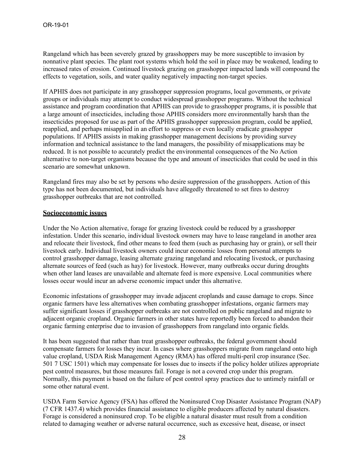Rangeland which has been severely grazed by grasshoppers may be more susceptible to invasion by nonnative plant species. The plant root systems which hold the soil in place may be weakened, leading to increased rates of erosion. Continued livestock grazing on grasshopper impacted lands will compound the effects to vegetation, soils, and water quality negatively impacting non-target species.

If APHIS does not participate in any grasshopper suppression programs, local governments, or private groups or individuals may attempt to conduct widespread grasshopper programs. Without the technical assistance and program coordination that APHIS can provide to grasshopper programs, it is possible that a large amount of insecticides, including those APHIS considers more environmentally harsh than the insecticides proposed for use as part of the APHIS grasshopper suppression program, could be applied, reapplied, and perhaps misapplied in an effort to suppress or even locally eradicate grasshopper populations. If APHIS assists in making grasshopper management decisions by providing survey information and technical assistance to the land managers, the possibility of misapplications may be reduced. It is not possible to accurately predict the environmental consequences of the No Action alternative to non-target organisms because the type and amount of insecticides that could be used in this scenario are somewhat unknown.

Rangeland fires may also be set by persons who desire suppression of the grasshoppers. Action of this type has not been documented, but individuals have allegedly threatened to set fires to destroy grasshopper outbreaks that are not controlled.

#### **Socioeconomic issues**

Under the No Action alternative, forage for grazing livestock could be reduced by a grasshopper infestation. Under this scenario, individual livestock owners may have to lease rangeland in another area and relocate their livestock, find other means to feed them (such as purchasing hay or grain), or sell their livestock early. Individual livestock owners could incur economic losses from personal attempts to control grasshopper damage, leasing alternate grazing rangeland and relocating livestock, or purchasing alternate sources of feed (such as hay) for livestock. However, many outbreaks occur during droughts when other land leases are unavailable and alternate feed is more expensive. Local communities where losses occur would incur an adverse economic impact under this alternative.

Economic infestations of grasshopper may invade adjacent croplands and cause damage to crops. Since organic farmers have less alternatives when combating grasshopper infestations, organic farmers may suffer significant losses if grasshopper outbreaks are not controlled on public rangeland and migrate to adjacent organic cropland. Organic farmers in other states have reportedly been forced to abandon their organic farming enterprise due to invasion of grasshoppers from rangeland into organic fields.

It has been suggested that rather than treat grasshopper outbreaks, the federal government should compensate farmers for losses they incur. In cases where grasshoppers migrate from rangeland onto high value cropland, USDA Risk Management Agency (RMA) has offered multi-peril crop insurance (Sec. 501 7 USC 1501) which may compensate for losses due to insects if the policy holder utilizes appropriate pest control measures, but those measures fail. Forage is not a covered crop under this program. Normally, this payment is based on the failure of pest control spray practices due to untimely rainfall or some other natural event.

USDA Farm Service Agency (FSA) has offered the Noninsured Crop Disaster Assistance Program (NAP) (7 CFR 1437.4) which provides financial assistance to eligible producers affected by natural disasters. Forage is considered a noninsured crop. To be eligible a natural disaster must result from a condition related to damaging weather or adverse natural occurrence, such as excessive heat, disease, or insect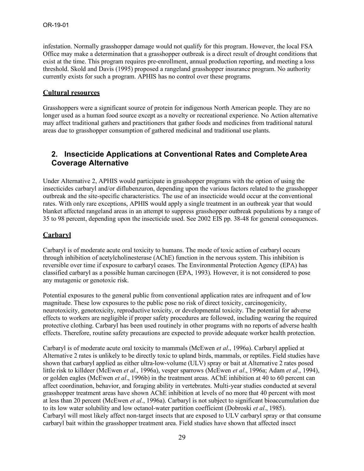infestation. Normally grasshopper damage would not qualify for this program. However, the local FSA Office may make a determination that a grasshopper outbreak is a direct result of drought conditions that exist at the time. This program requires pre-enrollment, annual production reporting, and meeting a loss threshold. Skold and Davis (1995) proposed a rangeland grasshopper insurance program. No authority currently exists for such a program. APHIS has no control over these programs.

#### **Cultural resources**

Grasshoppers were a significant source of protein for indigenous North American people. They are no longer used as a human food source except as a novelty or recreational experience. No Action alternative may affect traditional gathers and practitioners that gather foods and medicines from traditional natural areas due to grasshopper consumption of gathered medicinal and traditional use plants.

### **2. Insecticide Applications at Conventional Rates and CompleteArea Coverage Alternative**

Under Alternative 2, APHIS would participate in grasshopper programs with the option of using the insecticides carbaryl and/or diflubenzuron, depending upon the various factors related to the grasshopper outbreak and the site-specific characteristics. The use of an insecticide would occur at the conventional rates. With only rare exceptions, APHIS would apply a single treatment in an outbreak year that would blanket affected rangeland areas in an attempt to suppress grasshopper outbreak populations by a range of 35 to 98 percent, depending upon the insecticide used. See 2002 EIS pp. 38-48 for general consequences.

#### **Carbaryl**

Carbaryl is of moderate acute oral toxicity to humans. The mode of toxic action of carbaryl occurs through inhibition of acetylcholinesterase (AChE) function in the nervous system. This inhibition is reversible over time if exposure to carbaryl ceases. The Environmental Protection Agency (EPA) has classified carbaryl as a possible human carcinogen (EPA, 1993). However, it is not considered to pose any mutagenic or genotoxic risk.

Potential exposures to the general public from conventional application rates are infrequent and of low magnitude. These low exposures to the public pose no risk of direct toxicity, carcinogenicity, neurotoxicity, genotoxicity, reproductive toxicity, or developmental toxicity. The potential for adverse effects to workers are negligible if proper safety procedures are followed, including wearing the required protective clothing. Carbaryl has been used routinely in other programs with no reports of adverse health effects. Therefore, routine safety precautions are expected to provide adequate worker health protection.

Carbaryl is of moderate acute oral toxicity to mammals (McEwen *et al*., 1996a). Carbaryl applied at Alternative 2 rates is unlikely to be directly toxic to upland birds, mammals, or reptiles. Field studies have shown that carbaryl applied as either ultra-low-volume (ULV) spray or bait at Alternative 2 rates posed little risk to killdeer (McEwen *et al*., 1996a), vesper sparrows (McEwen *et al*., 1996a; Adam *et al*., 1994), or golden eagles (McEwen *et al*., 1996b) in the treatment areas. AChE inhibition at 40 to 60 percent can affect coordination, behavior, and foraging ability in vertebrates. Multi-year studies conducted at several grasshopper treatment areas have shown AChE inhibition at levels of no more that 40 percent with most at less than 20 percent (McEwen *et al*., 1996a). Carbaryl is not subject to significant bioaccumulation due to its low water solubility and low octanol-water partition coefficient (Dobroski *et al*., 1985). Carbaryl will most likely affect non-target insects that are exposed to ULV carbaryl spray or that consume carbaryl bait within the grasshopper treatment area. Field studies have shown that affected insect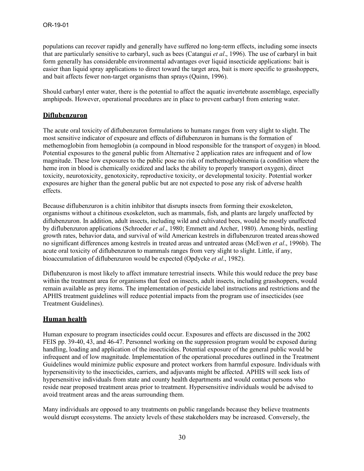populations can recover rapidly and generally have suffered no long-term effects, including some insects that are particularly sensitive to carbaryl, such as bees (Catangui *et al*., 1996). The use of carbaryl in bait form generally has considerable environmental advantages over liquid insecticide applications: bait is easier than liquid spray applications to direct toward the target area, bait is more specific to grasshoppers, and bait affects fewer non-target organisms than sprays (Quinn, 1996).

Should carbaryl enter water, there is the potential to affect the aquatic invertebrate assemblage, especially amphipods. However, operational procedures are in place to prevent carbaryl from entering water.

#### **Diflubenzuron**

The acute oral toxicity of diflubenzuron formulations to humans ranges from very slight to slight. The most sensitive indicator of exposure and effects of diflubenzuron in humans is the formation of methemoglobin from hemoglobin (a compound in blood responsible for the transport of oxygen) in blood. Potential exposures to the general public from Alternative 2 application rates are infrequent and of low magnitude. These low exposures to the public pose no risk of methemoglobinemia (a condition where the heme iron in blood is chemically oxidized and lacks the ability to properly transport oxygen), direct toxicity, neurotoxicity, genotoxicity, reproductive toxicity, or developmental toxicity. Potential worker exposures are higher than the general public but are not expected to pose any risk of adverse health effects.

Because diflubenzuron is a chitin inhibitor that disrupts insects from forming their exoskeleton, organisms without a chitinous exoskeleton, such as mammals, fish, and plants are largely unaffected by diflubenzuron. In addition, adult insects, including wild and cultivated bees, would be mostly unaffected by diflubenzuron applications (Schroeder *et al*., 1980; Emmett and Archer, 1980). Among birds, nestling growth rates, behavior data, and survival of wild American kestrels in diflubenzuron treated areasshowed no significant differences among kestrels in treated areas and untreated areas (McEwen *et al*., 1996b). The acute oral toxicity of diflubenzuron to mammals ranges from very slight to slight. Little, if any, bioaccumulation of diflubenzuron would be expected (Opdycke *et al*., 1982).

Diflubenzuron is most likely to affect immature terrestrial insects. While this would reduce the prey base within the treatment area for organisms that feed on insects, adult insects, including grasshoppers, would remain available as prey items. The implementation of pesticide label instructions and restrictions and the APHIS treatment guidelines will reduce potential impacts from the program use of insecticides (see Treatment Guidelines).

#### **Human health**

Human exposure to program insecticides could occur. Exposures and effects are discussed in the 2002 FEIS pp. 39-40, 43, and 46-47. Personnel working on the suppression program would be exposed during handling, loading and application of the insecticides. Potential exposure of the general public would be infrequent and of low magnitude. Implementation of the operational procedures outlined in the Treatment Guidelines would minimize public exposure and protect workers from harmful exposure. Individuals with hypersensitivity to the insecticides, carriers, and adjuvants might be affected. APHIS will seek lists of hypersensitive individuals from state and county health departments and would contact persons who reside near proposed treatment areas prior to treatment. Hypersensitive individuals would be advised to avoid treatment areas and the areas surrounding them.

Many individuals are opposed to any treatments on public rangelands because they believe treatments would disrupt ecosystems. The anxiety levels of these stakeholders may be increased. Conversely, the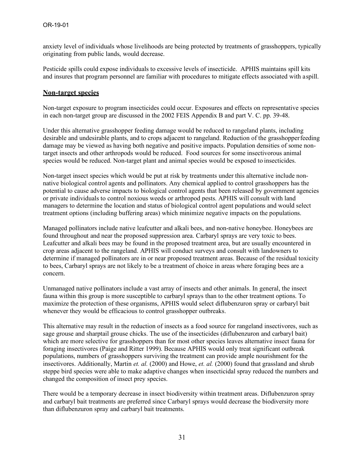anxiety level of individuals whose livelihoods are being protected by treatments of grasshoppers, typically originating from public lands, would decrease.

Pesticide spills could expose individuals to excessive levels of insecticide. APHIS maintains spill kits and insures that program personnel are familiar with procedures to mitigate effects associated with aspill.

#### **Non-target species**

Non-target exposure to program insecticides could occur. Exposures and effects on representative species in each non-target group are discussed in the 2002 FEIS Appendix B and part V. C. pp. 39-48.

Under this alternative grasshopper feeding damage would be reduced to rangeland plants, including desirable and undesirable plants, and to crops adjacent to rangeland. Reduction of the grasshopperfeeding damage may be viewed as having both negative and positive impacts. Population densities of some nontarget insects and other arthropods would be reduced. Food sources for some insectivorous animal species would be reduced. Non-target plant and animal species would be exposed to insecticides.

Non-target insect species which would be put at risk by treatments under this alternative include nonnative biological control agents and pollinators. Any chemical applied to control grasshoppers has the potential to cause adverse impacts to biological control agents that been released by government agencies or private individuals to control noxious weeds or arthropod pests. APHIS will consult with land managers to determine the location and status of biological control agent populations and would select treatment options (including buffering areas) which minimize negative impacts on the populations.

Managed pollinators include native leafcutter and alkali bees, and non-native honeybee. Honeybees are found throughout and near the proposed suppression area. Carbaryl sprays are very toxic to bees. Leafcutter and alkali bees may be found in the proposed treatment area, but are usually encountered in crop areas adjacent to the rangeland. APHIS will conduct surveys and consult with landowners to determine if managed pollinators are in or near proposed treatment areas. Because of the residual toxicity to bees, Carbaryl sprays are not likely to be a treatment of choice in areas where foraging bees are a concern.

Unmanaged native pollinators include a vast array of insects and other animals. In general, the insect fauna within this group is more susceptible to carbaryl sprays than to the other treatment options. To maximize the protection of these organisms, APHIS would select diflubenzuron spray or carbaryl bait whenever they would be efficacious to control grasshopper outbreaks.

This alternative may result in the reduction of insects as a food source for rangeland insectivores, such as sage grouse and sharptail grouse chicks. The use of the insecticides (diflubenzuron and carbaryl bait) which are more selective for grasshoppers than for most other species leaves alternative insect fauna for foraging insectivores (Paige and Ritter 1999). Because APHIS would only treat significant outbreak populations, numbers of grasshoppers surviving the treatment can provide ample nourishment for the insectivores. Additionally, Martin *et. al.* (2000) and Howe, *et. al.* (2000) found that grassland and shrub steppe bird species were able to make adaptive changes when insecticidal spray reduced the numbers and changed the composition of insect prey species.

There would be a temporary decrease in insect biodiversity within treatment areas. Diflubenzuron spray and carbaryl bait treatments are preferred since Carbaryl sprays would decrease the biodiversity more than diflubenzuron spray and carbaryl bait treatments.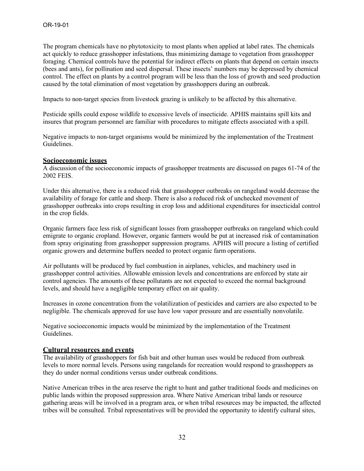The program chemicals have no phytotoxicity to most plants when applied at label rates. The chemicals act quickly to reduce grasshopper infestations, thus minimizing damage to vegetation from grasshopper foraging. Chemical controls have the potential for indirect effects on plants that depend on certain insects (bees and ants), for pollination and seed dispersal. These insects' numbers may be depressed by chemical control. The effect on plants by a control program will be less than the loss of growth and seed production caused by the total elimination of most vegetation by grasshoppers during an outbreak.

Impacts to non-target species from livestock grazing is unlikely to be affected by this alternative.

Pesticide spills could expose wildlife to excessive levels of insecticide. APHIS maintains spill kits and insures that program personnel are familiar with procedures to mitigate effects associated with a spill.

Negative impacts to non-target organisms would be minimized by the implementation of the Treatment Guidelines.

#### **Socioeconomic issues**

A discussion of the socioeconomic impacts of grasshopper treatments are discussed on pages 61-74 of the 2002 FEIS.

Under this alternative, there is a reduced risk that grasshopper outbreaks on rangeland would decrease the availability of forage for cattle and sheep. There is also a reduced risk of unchecked movement of grasshopper outbreaks into crops resulting in crop loss and additional expenditures for insecticidal control in the crop fields.

Organic farmers face less risk of significant losses from grasshopper outbreaks on rangeland which could emigrate to organic cropland. However, organic farmers would be put at increased risk of contamination from spray originating from grasshopper suppression programs. APHIS will procure a listing of certified organic growers and determine buffers needed to protect organic farm operations.

Air pollutants will be produced by fuel combustion in airplanes, vehicles, and machinery used in grasshopper control activities. Allowable emission levels and concentrations are enforced by state air control agencies. The amounts of these pollutants are not expected to exceed the normal background levels, and should have a negligible temporary effect on air quality.

Increases in ozone concentration from the volatilization of pesticides and carriers are also expected to be negligible. The chemicals approved for use have low vapor pressure and are essentially nonvolatile.

Negative socioeconomic impacts would be minimized by the implementation of the Treatment Guidelines.

#### **Cultural resources and events**

The availability of grasshoppers for fish bait and other human uses would be reduced from outbreak levels to more normal levels. Persons using rangelands for recreation would respond to grasshoppers as they do under normal conditions versus under outbreak conditions.

Native American tribes in the area reserve the right to hunt and gather traditional foods and medicines on public lands within the proposed suppression area. Where Native American tribal lands or resource gathering areas will be involved in a program area, or when tribal resources may be impacted, the affected tribes will be consulted. Tribal representatives will be provided the opportunity to identify cultural sites,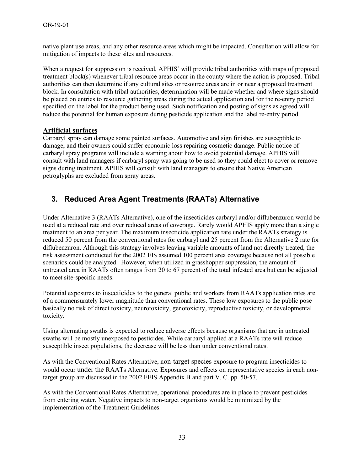native plant use areas, and any other resource areas which might be impacted. Consultation will allow for mitigation of impacts to these sites and resources.

When a request for suppression is received, APHIS' will provide tribal authorities with maps of proposed treatment block(s) whenever tribal resource areas occur in the county where the action is proposed. Tribal authorities can then determine if any cultural sites or resource areas are in or near a proposed treatment block. In consultation with tribal authorities, determination will be made whether and where signs should be placed on entries to resource gathering areas during the actual application and for the re-entry period specified on the label for the product being used. Such notification and posting of signs as agreed will reduce the potential for human exposure during pesticide application and the label re-entry period.

#### **Artificial surfaces**

Carbaryl spray can damage some painted surfaces. Automotive and sign finishes are susceptible to damage, and their owners could suffer economic loss repairing cosmetic damage. Public notice of carbaryl spray programs will include a warning about how to avoid potential damage. APHIS will consult with land managers if carbaryl spray was going to be used so they could elect to cover or remove signs during treatment. APHIS will consult with land managers to ensure that Native American petroglyphs are excluded from spray areas.

### **3. Reduced Area Agent Treatments (RAATs) Alternative**

Under Alternative 3 (RAATs Alternative), one of the insecticides carbaryl and/or diflubenzuron would be used at a reduced rate and over reduced areas of coverage. Rarely would APHIS apply more than a single treatment to an area per year. The maximum insecticide application rate under the RAATs strategy is reduced 50 percent from the conventional rates for carbaryl and 25 percent from the Alternative 2 rate for diflubenzuron. Although this strategy involves leaving variable amounts of land not directly treated, the risk assessment conducted for the 2002 EIS assumed 100 percent area coverage because not all possible scenarios could be analyzed. However, when utilized in grasshopper suppression, the amount of untreated area in RAATs often ranges from 20 to 67 percent of the total infested area but can be adjusted to meet site-specific needs.

Potential exposures to insecticides to the general public and workers from RAATs application rates are of a commensurately lower magnitude than conventional rates. These low exposures to the public pose basically no risk of direct toxicity, neurotoxicity, genotoxicity, reproductive toxicity, or developmental toxicity.

Using alternating swaths is expected to reduce adverse effects because organisms that are in untreated swaths will be mostly unexposed to pesticides. While carbaryl applied at a RAATs rate will reduce susceptible insect populations, the decrease will be less than under conventional rates.

As with the Conventional Rates Alternative, non-target species exposure to program insecticides to would occur under the RAATs Alternative. Exposures and effects on representative species in each nontarget group are discussed in the 2002 FEIS Appendix B and part V. C. pp. 50-57.

As with the Conventional Rates Alternative, operational procedures are in place to prevent pesticides from entering water. Negative impacts to non-target organisms would be minimized by the implementation of the Treatment Guidelines.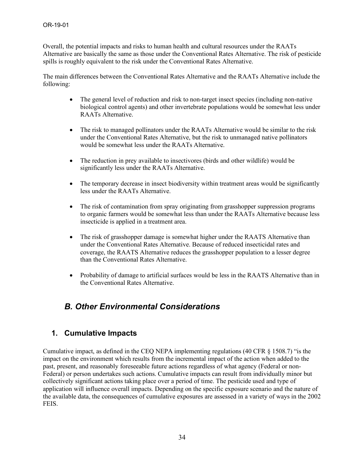Overall, the potential impacts and risks to human health and cultural resources under the RAATs Alternative are basically the same as those under the Conventional Rates Alternative. The risk of pesticide spills is roughly equivalent to the risk under the Conventional Rates Alternative.

The main differences between the Conventional Rates Alternative and the RAATs Alternative include the following:

- The general level of reduction and risk to non-target insect species (including non-native biological control agents) and other invertebrate populations would be somewhat less under RAATs Alternative.
- The risk to managed pollinators under the RAATs Alternative would be similar to the risk under the Conventional Rates Alternative, but the risk to unmanaged native pollinators would be somewhat less under the RAATs Alternative.
- The reduction in prey available to insectivores (birds and other wildlife) would be significantly less under the RAATs Alternative.
- The temporary decrease in insect biodiversity within treatment areas would be significantly less under the RAATs Alternative.
- The risk of contamination from spray originating from grasshopper suppression programs to organic farmers would be somewhat less than under the RAATs Alternative because less insecticide is applied in a treatment area.
- The risk of grasshopper damage is somewhat higher under the RAATS Alternative than under the Conventional Rates Alternative. Because of reduced insecticidal rates and coverage, the RAATS Alternative reduces the grasshopper population to a lesser degree than the Conventional Rates Alternative.
- Probability of damage to artificial surfaces would be less in the RAATS Alternative than in the Conventional Rates Alternative.

## *B. Other Environmental Considerations*

### **1. Cumulative Impacts**

Cumulative impact, as defined in the CEO NEPA implementing regulations (40 CFR  $\frac{8}{1508.7}$ ) "is the impact on the environment which results from the incremental impact of the action when added to the past, present, and reasonably foreseeable future actions regardless of what agency (Federal or non-Federal) or person undertakes such actions. Cumulative impacts can result from individually minor but collectively significant actions taking place over a period of time. The pesticide used and type of application will influence overall impacts. Depending on the specific exposure scenario and the nature of the available data, the consequences of cumulative exposures are assessed in a variety of ways in the 2002 **FEIS**.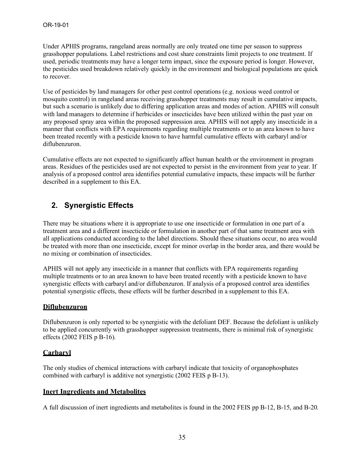Under APHIS programs, rangeland areas normally are only treated one time per season to suppress grasshopper populations. Label restrictions and cost share constraints limit projects to one treatment. If used, periodic treatments may have a longer term impact, since the exposure period is longer. However, the pesticides used breakdown relatively quickly in the environment and biological populations are quick to recover.

Use of pesticides by land managers for other pest control operations (e.g. noxious weed control or mosquito control) in rangeland areas receiving grasshopper treatments may result in cumulative impacts, but such a scenario is unlikely due to differing application areas and modes of action. APHIS will consult with land managers to determine if herbicides or insecticides have been utilized within the past year on any proposed spray area within the proposed suppression area. APHIS will not apply any insecticide in a manner that conflicts with EPA requirements regarding multiple treatments or to an area known to have been treated recently with a pesticide known to have harmful cumulative effects with carbaryl and/or diflubenzuron.

Cumulative effects are not expected to significantly affect human health or the environment in program areas. Residues of the pesticides used are not expected to persist in the environment from year to year. If analysis of a proposed control area identifies potential cumulative impacts, these impacts will be further described in a supplement to this EA.

## **2. Synergistic Effects**

There may be situations where it is appropriate to use one insecticide or formulation in one part of a treatment area and a different insecticide or formulation in another part of that same treatment area with all applications conducted according to the label directions. Should these situations occur, no area would be treated with more than one insecticide, except for minor overlap in the border area, and there would be no mixing or combination of insecticides.

APHIS will not apply any insecticide in a manner that conflicts with EPA requirements regarding multiple treatments or to an area known to have been treated recently with a pesticide known to have synergistic effects with carbaryl and/or diflubenzuron. If analysis of a proposed control area identifies potential synergistic effects, these effects will be further described in a supplement to this EA.

#### **Diflubenzuron**

Diflubenzuron is only reported to be synergistic with the defoliant DEF. Because the defoliant is unlikely to be applied concurrently with grasshopper suppression treatments, there is minimal risk of synergistic effects (2002 FEIS p B-16).

#### **Carbaryl**

The only studies of chemical interactions with carbaryl indicate that toxicity of organophosphates combined with carbaryl is additive not synergistic (2002 FEIS p B-13).

#### **Inert Ingredients and Metabolites**

A full discussion of inert ingredients and metabolites is found in the 2002 FEIS pp B-12, B-15, and B-20.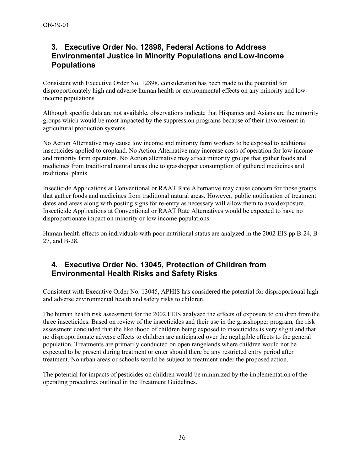### **3. Executive Order No. 12898, Federal Actions to Address Environmental Justice in Minority Populations and Low-Income Populations**

Consistent with Executive Order No. 12898, consideration has been made to the potential for disproportionately high and adverse human health or environmental effects on any minority and lowincome populations.

Although specific data are not available, observations indicate that Hispanics and Asians are the minority groups which would be most impacted by the suppression programs because of their involvement in agricultural production systems.

No Action Alternative may cause low income and minority farm workers to be exposed to additional insecticides applied to cropland. No Action Alternative may increase costs of operation for low income and minority farm operators. No Action alternative may affect minority groups that gather foods and medicines from traditional natural areas due to grasshopper consumption of gathered medicines and traditional plants

Insecticide Applications at Conventional or RAAT Rate Alternative may cause concern for those groups that gather foods and medicines from traditional natural areas. However, public notification of treatment dates and areas along with posting signs for re-entry as necessary will allow them to avoidexposure. Insecticide Applications at Conventional or RAAT Rate Alternatives would be expected to have no disproportionate impact on minority or low income populations.

Human health effects on individuals with poor nutritional status are analyzed in the 2002 EIS pp B-24, B-27, and B-28.

### **4. Executive Order No. 13045, Protection of Children from Environmental Health Risks and Safety Risks**

Consistent with Executive Order No. 13045, APHIS has considered the potential for disproportional high and adverse environmental health and safety risks to children.

The human health risk assessment for the 2002 FEIS analyzed the effects of exposure to children fromthe three insecticides. Based on review of the insecticides and their use in the grasshopper program, the risk assessment concluded that the likelihood of children being exposed to insecticides is very slight and that no disproportionate adverse effects to children are anticipated over the negligible effects to the general population. Treatments are primarily conducted on open rangelands where children would not be expected to be present during treatment or enter should there be any restricted entry period after treatment. No urban areas or schools would be subject to treatment under the proposed action.

The potential for impacts of pesticides on children would be minimized by the implementation of the operating procedures outlined in the Treatment Guidelines.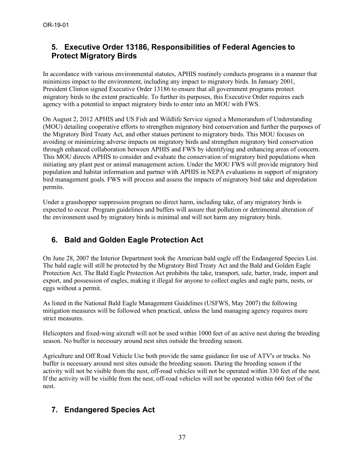### **5. Executive Order 13186, Responsibilities of Federal Agencies to Protect Migratory Birds**

In accordance with various environmental statutes, APHIS routinely conducts programs in a manner that minimizes impact to the environment, including any impact to migratory birds. In January 2001, President Clinton signed Executive Order 13186 to ensure that all government programs protect migratory birds to the extent practicable. To further its purposes, this Executive Order requires each agency with a potential to impact migratory birds to enter into an MOU with FWS.

On August 2, 2012 APHIS and US Fish and Wildlife Service signed a Memorandum of Understanding (MOU) detailing cooperative efforts to strengthen migratory bird conservation and further the purposes of the Migratory Bird Treaty Act, and other statues pertinent to migratory birds. This MOU focuses on avoiding or minimizing adverse impacts on migratory birds and strengthen migratory bird conservation through enhanced collaboration between APHIS and FWS by identifying and enhancing areas of concern. This MOU directs APHIS to consider and evaluate the conservation of migratory bird populations when initiating any plant pest or animal management action. Under the MOU FWS will provide migratory bird population and habitat information and partner with APHIS in NEPA evaluations in support of migratory bird management goals. FWS will process and assess the impacts of migratory bird take and depredation permits.

Under a grasshopper suppression program no direct harm, including take, of any migratory birds is expected to occur. Program guidelines and buffers will assure that pollution or detrimental alteration of the environment used by migratory birds is minimal and will not harm any migratory birds.

## **6. Bald and Golden Eagle Protection Act**

On June 28, 2007 the Interior Department took the American bald eagle off the Endangered Species List. The bald eagle will still be protected by the Migratory Bird Treaty Act and the Bald and Golden Eagle Protection Act. The Bald Eagle Protection Act prohibits the take, transport, sale, barter, trade, import and export, and possession of eagles, making it illegal for anyone to collect eagles and eagle parts, nests, or eggs without a permit.

As listed in the National Bald Eagle Management Guidelines (USFWS, May 2007) the following mitigation measures will be followed when practical, unless the land managing agency requires more strict measures.

Helicopters and fixed-wing aircraft will not be used within 1000 feet of an active nest during the breeding season. No buffer is necessary around nest sites outside the breeding season.

Agriculture and Off Road Vehicle Use both provide the same guidance for use of ATV's or trucks. No buffer is necessary around nest sites outside the breeding season. During the breeding season if the activity will not be visible from the nest, off-road vehicles will not be operated within 330 feet of the nest. If the activity will be visible from the nest, off-road vehicles will not be operated within 660 feet of the nest.

## **7. Endangered Species Act**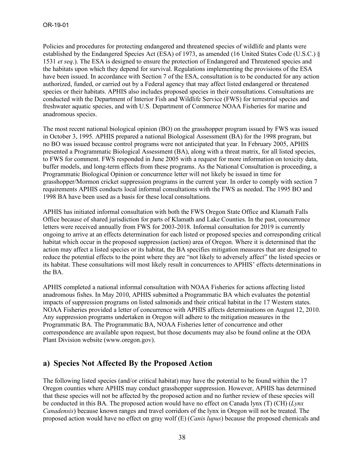Policies and procedures for protecting endangered and threatened species of wildlife and plants were established by the Endangered Species Act (ESA) of 1973, as amended (16 United States Code (U.S.C.) § 1531 *et seq*.). The ESA is designed to ensure the protection of Endangered and Threatened species and the habitats upon which they depend for survival. Regulations implementing the provisions of the ESA have been issued. In accordance with Section 7 of the ESA, consultation is to be conducted for any action authorized, funded, or carried out by a Federal agency that may affect listed endangered or threatened species or their habitats. APHIS also includes proposed species in their consultations. Consultations are conducted with the Department of Interior Fish and Wildlife Service (FWS) for terrestrial species and freshwater aquatic species, and with U.S. Department of Commerce NOAA Fisheries for marine and anadromous species.

The most recent national biological opinion (BO) on the grasshopper program issued by FWS was issued in October 3, 1995. APHIS prepared a national Biological Assessment (BA) for the 1998 program, but no BO was issued because control programs were not anticipated that year. In February 2005, APHIS presented a Programmatic Biological Assessment (BA), along with a threat matrix, for all listed species, to FWS for comment. FWS responded in June 2005 with a request for more information on toxicity data, buffer models, and long-term effects from these programs. As the National Consultation is proceeding, a Programmatic Biological Opinion or concurrence letter will not likely be issued in time for grasshopper/Mormon cricket suppression programs in the current year. In order to comply with section 7 requirements APHIS conducts local informal consultations with the FWS as needed. The 1995 BO and 1998 BA have been used as a basis for these local consultations.

APHIS has initiated informal consultation with both the FWS Oregon State Office and Klamath Falls Office because of shared jurisdiction for parts of Klamath and Lake Counties. In the past, concurrence letters were received annually from FWS for 2003-2018. Informal consultation for 2019 is currently ongoing to arrive at an effects determination for each listed or proposed species and corresponding critical habitat which occur in the proposed suppression (action) area of Oregon. Where it is determined that the action may affect a listed species or its habitat, the BA specifies mitigation measures that are designed to reduce the potential effects to the point where they are "not likely to adversely affect" the listed species or its habitat. These consultations will most likely result in concurrences to APHIS' effects determinations in the BA.

APHIS completed a national informal consultation with NOAA Fisheries for actions affecting listed anadromous fishes. In May 2010, APHIS submitted a Programmatic BA which evaluates the potential impacts of suppression programs on listed salmonids and their critical habitat in the 17 Western states. NOAA Fisheries provided a letter of concurrence with APHIS affects determinations on August 12, 2010. Any suppression programs undertaken in Oregon will adhere to the mitigation measures in the Programmatic BA. The Programmatic BA, NOAA Fisheries letter of concurrence and other correspondence are available upon request, but those documents may also be found online at the ODA Plant Division website (www.oregon.gov).

### **a) Species Not Affected By the Proposed Action**

The following listed species (and/or critical habitat) may have the potential to be found within the 17 Oregon counties where APHIS may conduct grasshopper suppression. However, APHIS has determined that these species will not be affected by the proposed action and no further review of these species will be conducted in this BA. The proposed action would have no effect on Canada lynx (T) (CH) (*Lynx Canadensis*) because known ranges and travel corridors of the lynx in Oregon will not be treated. The proposed action would have no effect on gray wolf (E) (*Canis lupus*) because the proposed chemicals and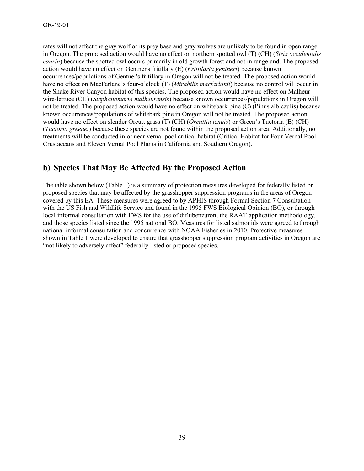rates will not affect the gray wolf or its prey base and gray wolves are unlikely to be found in open range in Oregon. The proposed action would have no effect on northern spotted owl (T) (CH) (*Strix occidentalis caurin*) because the spotted owl occurs primarily in old growth forest and not in rangeland. The proposed action would have no effect on Gentner's fritillary (E) (*Fritillaria gentneri*) because known occurrences/populations of Gentner's fritillary in Oregon will not be treated. The proposed action would have no effect on MacFarlane's four-o'clock (T) (*Mirabilis macfarlanii*) because no control will occur in the Snake River Canyon habitat of this species. The proposed action would have no effect on Malheur wire-lettuce (CH) (*Stephanomeria malheurensis*) because known occurrences/populations in Oregon will not be treated. The proposed action would have no effect on whitebark pine (C) (Pinus albicaulis) because known occurrences/populations of whitebark pine in Oregon will not be treated. The proposed action would have no effect on slender Orcutt grass (T) (CH) (*Orcuttia tenuis*) or Green's Tuctoria (E) (CH) (*Tuctoria greenei*) because these species are not found within the proposed action area. Additionally, no treatments will be conducted in or near vernal pool critical habitat (Critical Habitat for Four Vernal Pool Crustaceans and Eleven Vernal Pool Plants in California and Southern Oregon).

### **b) Species That May Be Affected By the Proposed Action**

The table shown below (Table 1) is a summary of protection measures developed for federally listed or proposed species that may be affected by the grasshopper suppression programs in the areas of Oregon covered by this EA. These measures were agreed to by APHIS through Formal Section 7 Consultation with the US Fish and Wildlife Service and found in the 1995 FWS Biological Opinion (BO), or through local informal consultation with FWS for the use of diflubenzuron, the RAAT application methodology, and those species listed since the 1995 national BO. Measures for listed salmonids were agreed to through national informal consultation and concurrence with NOAA Fisheries in 2010. Protective measures shown in Table 1 were developed to ensure that grasshopper suppression program activities in Oregon are "not likely to adversely affect" federally listed or proposed species.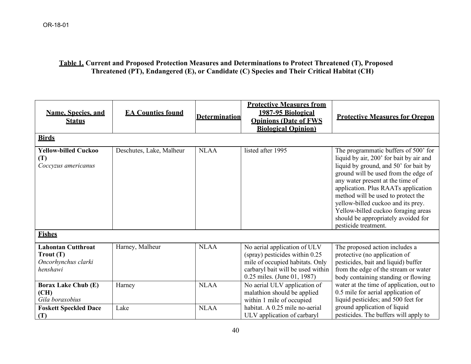#### **Table 1. Current and Proposed Protection Measures and Determinations to Protect Threatened (T), Proposed Threatened (PT), Endangered (E), or Candidate (C) Species and Their Critical Habitat (CH)**

| <b>Name, Species, and</b><br><b>Status</b>                                           | <b>EA Counties found</b> | <b>Determination</b> | <b>Protective Measures from</b><br>1987-95 Biological<br><b>Opinions (Date of FWS</b><br><b>Biological Opinion</b>                                                    | <b>Protective Measures for Oregon</b>                                                                                                                                                                                                                                                                                                                                                                                         |  |  |
|--------------------------------------------------------------------------------------|--------------------------|----------------------|-----------------------------------------------------------------------------------------------------------------------------------------------------------------------|-------------------------------------------------------------------------------------------------------------------------------------------------------------------------------------------------------------------------------------------------------------------------------------------------------------------------------------------------------------------------------------------------------------------------------|--|--|
| <b>Birds</b>                                                                         |                          |                      |                                                                                                                                                                       |                                                                                                                                                                                                                                                                                                                                                                                                                               |  |  |
| <b>Yellow-billed Cuckoo</b><br>(T)<br>Coccyzus americanus                            | Deschutes, Lake, Malheur | <b>NLAA</b>          | listed after 1995                                                                                                                                                     | The programmatic buffers of 500' for<br>liquid by air, 200' for bait by air and<br>liquid by ground, and 50' for bait by<br>ground will be used from the edge of<br>any water present at the time of<br>application. Plus RAATs application<br>method will be used to protect the<br>yellow-billed cuckoo and its prey.<br>Yellow-billed cuckoo foraging areas<br>should be appropriately avoided for<br>pesticide treatment. |  |  |
| <b>Fishes</b>                                                                        |                          |                      |                                                                                                                                                                       |                                                                                                                                                                                                                                                                                                                                                                                                                               |  |  |
| <b>Lahontan Cutthroat</b><br>$T_{\text{rout}}(T)$<br>Oncorhynchus clarki<br>henshawi | Harney, Malheur          | <b>NLAA</b>          | No aerial application of ULV<br>(spray) pesticides within 0.25<br>mile of occupied habitats. Only<br>carbaryl bait will be used within<br>0.25 miles. (June 01, 1987) | The proposed action includes a<br>protective (no application of<br>pesticides, bait and liquid) buffer<br>from the edge of the stream or water<br>body containing standing or flowing                                                                                                                                                                                                                                         |  |  |
| <b>Borax Lake Chub (E)</b><br>(CH)<br>Gila boraxobius                                | Harney                   | <b>NLAA</b>          | No aerial ULV application of<br>malathion should be applied<br>within 1 mile of occupied                                                                              | water at the time of application, out to<br>0.5 mile for aerial application of<br>liquid pesticides; and 500 feet for                                                                                                                                                                                                                                                                                                         |  |  |
| <b>Foskett Speckled Dace</b><br>(T)                                                  | Lake                     | <b>NLAA</b>          | habitat. A 0.25 mile no-aerial<br>ULV application of carbaryl                                                                                                         | ground application of liquid<br>pesticides. The buffers will apply to                                                                                                                                                                                                                                                                                                                                                         |  |  |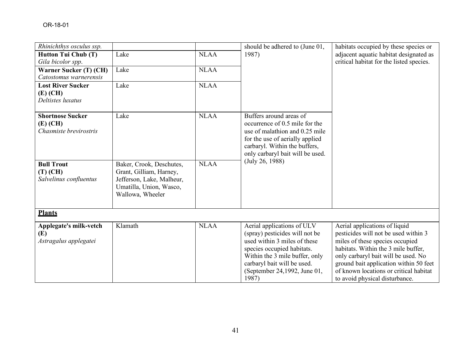| Rhinichthys osculus ssp.   |                           |             | should be adhered to (June 01,                                 | habitats occupied by these species or                                            |  |  |
|----------------------------|---------------------------|-------------|----------------------------------------------------------------|----------------------------------------------------------------------------------|--|--|
| <b>Hutton Tui Chub (T)</b> | Lake                      | <b>NLAA</b> | 1987)                                                          | adjacent aquatic habitat designated as                                           |  |  |
| Gila bicolor spp.          |                           |             |                                                                | critical habitat for the listed species.                                         |  |  |
| Warner Sucker (T) (CH)     | Lake                      | <b>NLAA</b> |                                                                |                                                                                  |  |  |
| Catostomus warnerensis     |                           |             |                                                                |                                                                                  |  |  |
| <b>Lost River Sucker</b>   | Lake                      | <b>NLAA</b> |                                                                |                                                                                  |  |  |
| $(E)$ (CH)                 |                           |             |                                                                |                                                                                  |  |  |
| Deltistes luxatus          |                           |             |                                                                |                                                                                  |  |  |
|                            |                           |             |                                                                |                                                                                  |  |  |
| <b>Shortnose Sucker</b>    | Lake                      | <b>NLAA</b> | Buffers around areas of                                        |                                                                                  |  |  |
| (E) (CH)                   |                           |             | occurrence of 0.5 mile for the                                 |                                                                                  |  |  |
| Chasmiste brevirostris     |                           |             | use of malathion and 0.25 mile                                 |                                                                                  |  |  |
|                            |                           |             | for the use of aerially applied                                |                                                                                  |  |  |
|                            |                           |             | carbaryl. Within the buffers,                                  |                                                                                  |  |  |
|                            |                           |             | only carbaryl bait will be used.                               |                                                                                  |  |  |
| <b>Bull Trout</b>          | Baker, Crook, Deschutes,  | <b>NLAA</b> | (July 26, 1988)                                                |                                                                                  |  |  |
| $(T)$ (CH)                 | Grant, Gilliam, Harney,   |             |                                                                |                                                                                  |  |  |
| Salvelinus confluentus     | Jefferson, Lake, Malheur, |             |                                                                |                                                                                  |  |  |
|                            | Umatilla, Union, Wasco,   |             |                                                                |                                                                                  |  |  |
|                            | Wallowa, Wheeler          |             |                                                                |                                                                                  |  |  |
|                            |                           |             |                                                                |                                                                                  |  |  |
| <b>Plants</b>              |                           |             |                                                                |                                                                                  |  |  |
|                            |                           |             |                                                                |                                                                                  |  |  |
| Applegate's milk-vetch     | Klamath                   | <b>NLAA</b> | Aerial applications of ULV                                     | Aerial applications of liquid                                                    |  |  |
| (E)                        |                           |             | (spray) pesticides will not be<br>used within 3 miles of these | pesticides will not be used within 3                                             |  |  |
| Astragalus applegatei      |                           |             |                                                                | miles of these species occupied                                                  |  |  |
|                            |                           |             | species occupied habitats.                                     | habitats. Within the 3 mile buffer,                                              |  |  |
|                            |                           |             | Within the 3 mile buffer, only<br>carbaryl bait will be used.  | only carbaryl bait will be used. No                                              |  |  |
|                            |                           |             | (September 24,1992, June 01,                                   | ground bait application within 50 feet<br>of known locations or critical habitat |  |  |
|                            |                           |             | 1987)                                                          |                                                                                  |  |  |
|                            |                           |             |                                                                | to avoid physical disturbance.                                                   |  |  |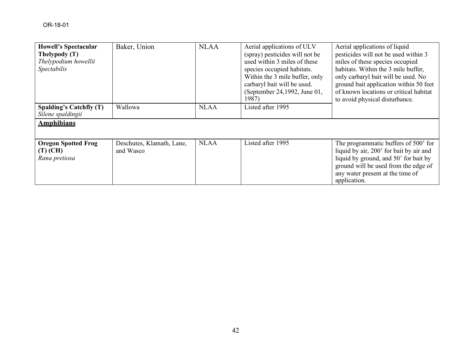| <b>Howell's Spectacular</b><br>Thelypody (T)<br>Thelypodium howellii<br>Spectabilis<br>Spalding's Catchfly (T)<br>Silene spaldingii | Baker, Union<br>Wallowa                | <b>NLAA</b><br><b>NLAA</b> | Aerial applications of ULV<br>(spray) pesticides will not be<br>used within 3 miles of these<br>species occupied habitats.<br>Within the 3 mile buffer, only<br>carbaryl bait will be used.<br>(September 24, 1992, June 01,<br>1987)<br>Listed after 1995 | Aerial applications of liquid<br>pesticides will not be used within 3<br>miles of these species occupied<br>habitats. Within the 3 mile buffer,<br>only carbaryl bait will be used. No<br>ground bait application within 50 feet<br>of known locations or critical habitat<br>to avoid physical disturbance. |
|-------------------------------------------------------------------------------------------------------------------------------------|----------------------------------------|----------------------------|------------------------------------------------------------------------------------------------------------------------------------------------------------------------------------------------------------------------------------------------------------|--------------------------------------------------------------------------------------------------------------------------------------------------------------------------------------------------------------------------------------------------------------------------------------------------------------|
| <b>Amphibians</b><br><b>Oregon Spotted Frog</b><br>$(T)$ (CH)<br>Rana pretiosa                                                      | Deschutes, Klamath, Lane,<br>and Wasco | <b>NLAA</b>                | Listed after 1995                                                                                                                                                                                                                                          | The programmatic buffers of 500' for<br>liquid by air, 200' for bait by air and<br>liquid by ground, and 50' for bait by<br>ground will be used from the edge of<br>any water present at the time of<br>application.                                                                                         |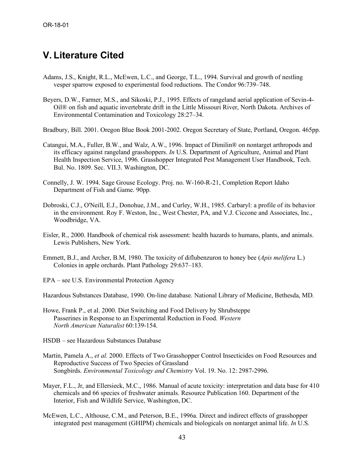## **V. Literature Cited**

- Adams, J.S., Knight, R.L., McEwen, L.C., and George, T.L., 1994. Survival and growth of nestling vesper sparrow exposed to experimental food reductions. The Condor 96:739–748.
- Beyers, D.W., Farmer, M.S., and Sikoski, P.J., 1995. Effects of rangeland aerial application of Sevin-4- Oil® on fish and aquatic invertebrate drift in the Little Missouri River, North Dakota. Archives of Environmental Contamination and Toxicology 28:27–34.
- Bradbury, Bill. 2001. Oregon Blue Book 2001-2002. Oregon Secretary of State, Portland, Oregon. 465pp.
- Catangui, M.A., Fuller, B.W., and Walz, A.W., 1996. Impact of Dimilin® on nontarget arthropods and its efficacy against rangeland grasshoppers. *In* U.S. Department of Agriculture, Animal and Plant Health Inspection Service, 1996. Grasshopper Integrated Pest Management User Handbook, Tech. Bul. No. 1809. Sec. VII.3. Washington, DC.
- Connelly, J. W. 1994. Sage Grouse Ecology. Proj. no. W-160-R-21, Completion Report Idaho Department of Fish and Game. 90pp.
- Dobroski, C.J., O'Neill, E.J., Donohue, J.M., and Curley, W.H., 1985. Carbaryl: a profile of its behavior in the environment. Roy F. Weston, Inc., West Chester, PA, and V.J. Ciccone and Associates, Inc., Woodbridge, VA.
- Eisler, R., 2000. Handbook of chemical risk assessment: health hazards to humans, plants, and animals. Lewis Publishers, New York.
- Emmett, B.J., and Archer, B.M, 1980. The toxicity of diflubenzuron to honey bee (*Apis melifera* L.) Colonies in apple orchards. Plant Pathology 29:637–183.
- EPA see U.S. Environmental Protection Agency

Hazardous Substances Database, 1990. On-line database. National Library of Medicine, Bethesda, MD.

- Howe, Frank P., et al. 2000. Diet Switching and Food Delivery by Shrubsteppe Passerines in Response to an Experimental Reduction in Food. *Western North American Naturalist* 60:139-154.
- HSDB see Hazardous Substances Database
- Martin, Pamela A., *et al.* 2000. Effects of Two Grasshopper Control Insecticides on Food Resources and Reproductive Success of Two Species of Grassland Songbirds. *Environmental Toxicology and Chemistry* Vol. 19. No. 12: 2987-2996.
- Mayer, F.L., Jr, and Ellersieck, M.C., 1986. Manual of acute toxicity: interpretation and data base for 410 chemicals and 66 species of freshwater animals. Resource Publication 160. Department of the Interior, Fish and Wildlife Service, Washington, DC.
- McEwen, L.C., Althouse, C.M., and Peterson, B.E., 1996a. Direct and indirect effects of grasshopper integrated pest management (GHIPM) chemicals and biologicals on nontarget animal life. *In* U.S.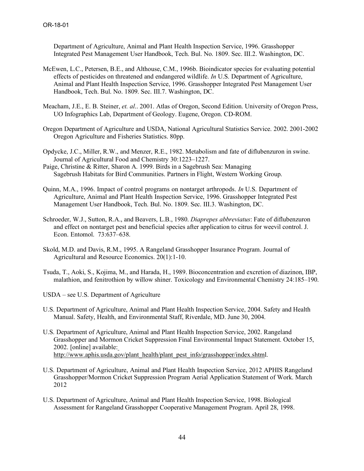Department of Agriculture, Animal and Plant Health Inspection Service, 1996. Grasshopper Integrated Pest Management User Handbook, Tech. Bul. No. 1809. Sec. III.2. Washington, DC.

- McEwen, L.C., Petersen, B.E., and Althouse, C.M., 1996b. Bioindicator species for evaluating potential effects of pesticides on threatened and endangered wildlife. *In* U.S. Department of Agriculture, Animal and Plant Health Inspection Service, 1996. Grasshopper Integrated Pest Management User Handbook, Tech. Bul. No. 1809. Sec. III.7. Washington, DC.
- Meacham, J.E., E. B. Steiner, *et. al*.. 2001. Atlas of Oregon, Second Edition. University of Oregon Press, UO Infographics Lab, Department of Geology. Eugene, Oregon. CD-ROM.
- Oregon Department of Agriculture and USDA, National Agricultural Statistics Service. 2002. 2001-2002 Oregon Agriculture and Fisheries Statistics. 80pp.

Opdycke, J.C., Miller, R.W., and Menzer, R.E., 1982. Metabolism and fate of diflubenzuron in swine. Journal of Agricultural Food and Chemistry 30:1223–1227.

- Paige, Christine & Ritter, Sharon A. 1999. Birds in a Sagebrush Sea: Managing Sagebrush Habitats for Bird Communities. Partners in Flight, Western Working Group.
- Quinn, M.A., 1996. Impact of control programs on nontarget arthropods. *In* U.S. Department of Agriculture, Animal and Plant Health Inspection Service, 1996. Grasshopper Integrated Pest Management User Handbook, Tech. Bul. No. 1809. Sec. III.3. Washington, DC.
- Schroeder, W.J., Sutton, R.A., and Beavers, L.B., 1980. *Diaprepes abbreviatus*: Fate of diflubenzuron and effect on nontarget pest and beneficial species after application to citrus for weevil control. J. Econ. Entomol. 73:637–638.
- Skold, M.D. and Davis, R.M., 1995. A Rangeland Grasshopper Insurance Program. Journal of Agricultural and Resource Economics. 20(1):1-10.
- Tsuda, T., Aoki, S., Kojima, M., and Harada, H., 1989. Bioconcentration and excretion of diazinon, IBP, malathion, and fenitrothion by willow shiner. Toxicology and Environmental Chemistry 24:185–190.
- USDA see U.S. Department of Agriculture
- U.S. Department of Agriculture, Animal and Plant Health Inspection Service, 2004. Safety and Health Manual. Safety, Health, and Environmental Staff, Riverdale, MD. June 30, 2004.
- U.S. Department of Agriculture, Animal and Plant Health Inspection Service, 2002. Rangeland Grasshopper and Mormon Cricket Suppression Final Environmental Impact Statement. October 15, 2002. [online] available: http://www.aphis.usda.gov/plant\_health/plant\_pest\_info/grasshopper/index.shtml.
- U.S. Department of Agriculture, Animal and Plant Health Inspection Service, 2012 APHIS Rangeland Grasshopper/Mormon Cricket Suppression Program Aerial Application Statement of Work. March 2012
- U.S. Department of Agriculture, Animal and Plant Health Inspection Service, 1998. Biological Assessment for Rangeland Grasshopper Cooperative Management Program. April 28, 1998.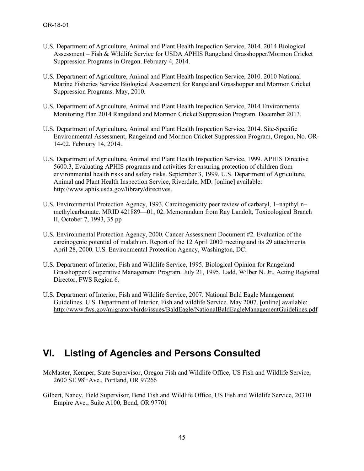- U.S. Department of Agriculture, Animal and Plant Health Inspection Service, 2014. 2014 Biological Assessment – Fish & Wildlife Service for USDA APHIS Rangeland Grasshopper/Mormon Cricket Suppression Programs in Oregon. February 4, 2014.
- U.S. Department of Agriculture, Animal and Plant Health Inspection Service, 2010. 2010 National Marine Fisheries Service Biological Assessment for Rangeland Grasshopper and Mormon Cricket Suppression Programs. May, 2010.
- U.S. Department of Agriculture, Animal and Plant Health Inspection Service, 2014 Environmental Monitoring Plan 2014 Rangeland and Mormon Cricket Suppression Program. December 2013.
- U.S. Department of Agriculture, Animal and Plant Health Inspection Service, 2014. Site-Specific Environmental Assessment, Rangeland and Mormon Cricket Suppression Program, Oregon, No. OR-14-02. February 14, 2014.
- U.S. Department of Agriculture, Animal and Plant Health Inspection Service, 1999. APHIS Directive 5600.3, Evaluating APHIS programs and activities for ensuring protection of children from environmental health risks and safety risks. September 3, 1999. U.S. Department of Agriculture, Animal and Plant Health Inspection Service, Riverdale, MD. [online] available: http://www.aphis.usda.gov/library/directives.
- U.S. Environmental Protection Agency, 1993. Carcinogenicity peer review of carbaryl, 1–napthyl n– methylcarbamate. MRID 421889—01, 02. Memorandum from Ray Landolt, Toxicological Branch II, October 7, 1993, 35 pp
- U.S. Environmental Protection Agency, 2000. Cancer Assessment Document #2. Evaluation of the carcinogenic potential of malathion. Report of the 12 April 2000 meeting and its 29 attachments. April 28, 2000. U.S. Environmental Protection Agency, Washington, DC.
- U.S. Department of Interior, Fish and Wildlife Service, 1995. Biological Opinion for Rangeland Grasshopper Cooperative Management Program. July 21, 1995. Ladd, Wilber N. Jr., Acting Regional Director, FWS Region 6.
- U.S. Department of Interior, Fish and Wildlife Service, 2007. National Bald Eagle Management Guidelines. U.S. Department of Interior, Fish and wildlife Service. May 2007. [online] available: http://www.fws.gov/migratorybirds/issues/BaldEagle/NationalBaldEagleManagementGuidelines.pdf

## **VI. Listing of Agencies and Persons Consulted**

- McMaster, Kemper, State Supervisor, Oregon Fish and Wildlife Office, US Fish and Wildlife Service, 2600 SE 98th Ave., Portland, OR 97266
- Gilbert, Nancy, Field Supervisor, Bend Fish and Wildlife Office, US Fish and Wildlife Service, 20310 Empire Ave., Suite A100, Bend, OR 97701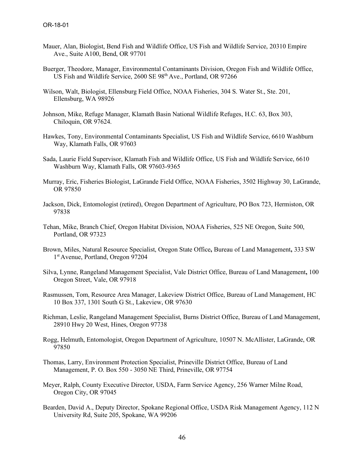- Mauer, Alan, Biologist, Bend Fish and Wildlife Office, US Fish and Wildlife Service, 20310 Empire Ave., Suite A100, Bend, OR 97701
- Buerger, Theodore, Manager, Environmental Contaminants Division, Oregon Fish and Wildlife Office, US Fish and Wildlife Service, 2600 SE 98<sup>th</sup> Ave., Portland, OR 97266
- Wilson, Walt, Biologist, Ellensburg Field Office, NOAA Fisheries, 304 S. Water St., Ste. 201, Ellensburg, WA 98926
- Johnson, Mike, Refuge Manager, Klamath Basin National Wildlife Refuges, H.C. 63, Box 303, Chiloquin, OR 97624.
- Hawkes, Tony, Environmental Contaminants Specialist, US Fish and Wildlife Service, 6610 Washburn Way, Klamath Falls, OR 97603
- Sada, Laurie Field Supervisor, Klamath Fish and Wildlife Office, US Fish and Wildlife Service, 6610 Washburn Way, Klamath Falls, OR 97603-9365
- Murray, Eric, Fisheries Biologist, LaGrande Field Office, NOAA Fisheries, 3502 Highway 30, LaGrande, OR 97850
- Jackson, Dick, Entomologist (retired), Oregon Department of Agriculture, PO Box 723, Hermiston, OR 97838
- Tehan, Mike, Branch Chief, Oregon Habitat Division, NOAA Fisheries, 525 NE Oregon, Suite 500, Portland, OR 97323
- Brown, Miles, Natural Resource Specialist, Oregon State Office**,** Bureau of Land Management**,** 333 SW 1st Avenue, Portland, Oregon 97204
- Silva, Lynne, Rangeland Management Specialist, Vale District Office, Bureau of Land Management**,** 100 Oregon Street, Vale, OR 97918
- Rasmussen, Tom, Resource Area Manager, Lakeview District Office, Bureau of Land Management, HC 10 Box 337, 1301 South G St., Lakeview, OR 97630
- Richman, Leslie, Rangeland Management Specialist, Burns District Office, Bureau of Land Management, 28910 Hwy 20 West, Hines, Oregon 97738
- Rogg, Helmuth, Entomologist, Oregon Department of Agriculture, 10507 N. McAllister, LaGrande, OR 97850
- Thomas, Larry, Environment Protection Specialist, Prineville District Office, Bureau of Land Management, P. O. Box 550 - 3050 NE Third, Prineville, OR 97754
- Meyer, Ralph, County Executive Director, USDA, Farm Service Agency, 256 Warner Milne Road, Oregon City, OR 97045
- Bearden, David A., Deputy Director, Spokane Regional Office, USDA Risk Management Agency, 112 N University Rd, Suite 205, Spokane, WA 99206